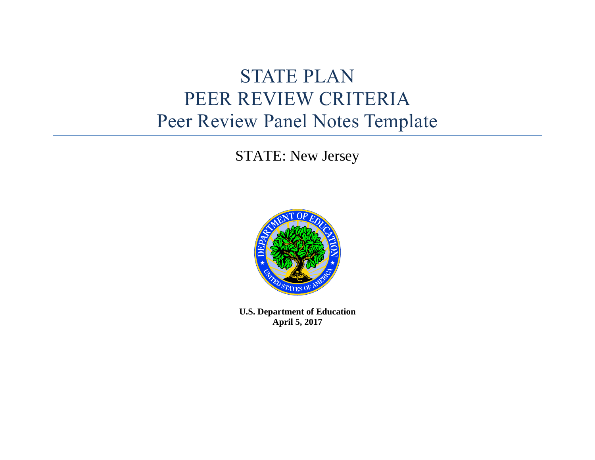# STATE PLAN PEER REVIEW CRITERIA Peer Review Panel Notes Template

STATE: New Jersey



**U.S. Department of Education April 5, 2017**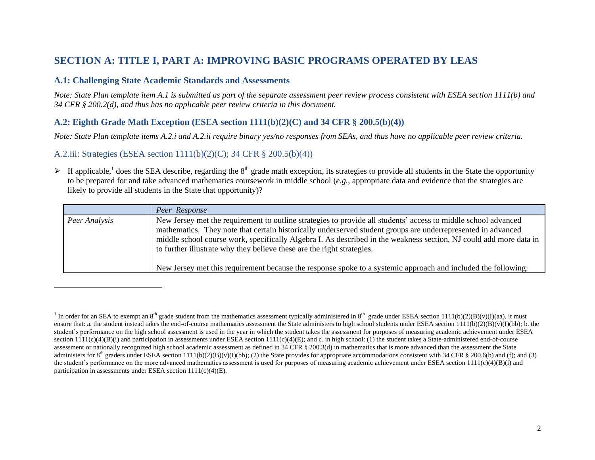## **SECTION A: TITLE I, PART A: IMPROVING BASIC PROGRAMS OPERATED BY LEAS**

## **A.1: Challenging State Academic Standards and Assessments**

*Note: State Plan template item A.1 is submitted as part of the separate assessment peer review process consistent with ESEA section 1111(b) and 34 CFR § 200.2(d), and thus has no applicable peer review criteria in this document.*

## **A.2: Eighth Grade Math Exception (ESEA section 1111(b)(2)(C) and 34 CFR § 200.5(b)(4))**

*Note: State Plan template items A.2.i and A.2.ii require binary yes/no responses from SEAs, and thus have no applicable peer review criteria.*

## A.2.iii: Strategies (ESEA section 1111(b)(2)(C); 34 CFR § 200.5(b)(4))

 $\overline{a}$ 

If applicable,<sup>1</sup> does the SEA describe, regarding the 8<sup>th</sup> grade math exception, its strategies to provide all students in the State the opportunity to be prepared for and take advanced mathematics coursework in middle school (*e.g.*, appropriate data and evidence that the strategies are likely to provide all students in the State that opportunity)?

|               | Peer Response                                                                                                                                                                                                                                                                                                                                                                                                                                                                                                                                   |
|---------------|-------------------------------------------------------------------------------------------------------------------------------------------------------------------------------------------------------------------------------------------------------------------------------------------------------------------------------------------------------------------------------------------------------------------------------------------------------------------------------------------------------------------------------------------------|
| Peer Analysis | New Jersey met the requirement to outline strategies to provide all students' access to middle school advanced<br>mathematics. They note that certain historically underserved student groups are underrepresented in advanced<br>middle school course work, specifically Algebra I. As described in the weakness section, NJ could add more data in<br>to further illustrate why they believe these are the right strategies.<br>New Jersey met this requirement because the response spoke to a systemic approach and included the following: |

<sup>&</sup>lt;sup>1</sup> In order for an SEA to exempt an 8<sup>th</sup> grade student from the mathematics assessment typically administered in 8<sup>th</sup> grade under ESEA section 111(b)(2)(B)(v)(I)(aa), it must ensure that: a. the student instead takes the end-of-course mathematics assessment the State administers to high school students under ESEA section  $1111(b)(2)(B)(v)(I)(bb)$ ; b. the student's performance on the high school assessment is used in the year in which the student takes the assessment for purposes of measuring academic achievement under ESEA section  $111(c)(4)(B)(i)$  and participation in assessments under ESEA section  $1111(c)(4)(E)$ ; and c. in high school: (1) the student takes a State-administered end-of-course assessment or nationally recognized high school academic assessment as defined in 34 CFR § 200.3(d) in mathematics that is more advanced than the assessment the State administers for 8<sup>th</sup> graders under ESEA section 1111(b)(2)(B)(v)(I)(bb); (2) the State provides for appropriate accommodations consistent with 34 CFR § 200.6(b) and (f); and (3) the student's performance on the more advanced mathematics assessment is used for purposes of measuring academic achievement under ESEA section  $1111(c)(4)(B)(i)$  and participation in assessments under ESEA section  $1111(c)(4)(E)$ .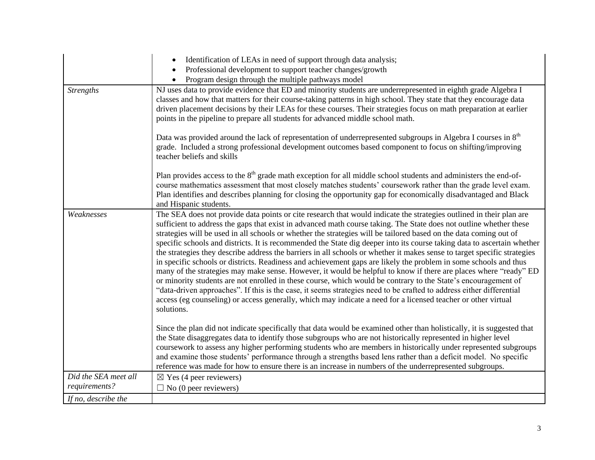|                                       | Identification of LEAs in need of support through data analysis;<br>Professional development to support teacher changes/growth<br>Program design through the multiple pathways model                                                                                                                                                                                                                                                                                                                                                                                                                                                                                                                                                                                                                                                                                                                                                                                                                                                                                                                                                                                                                                                   |
|---------------------------------------|----------------------------------------------------------------------------------------------------------------------------------------------------------------------------------------------------------------------------------------------------------------------------------------------------------------------------------------------------------------------------------------------------------------------------------------------------------------------------------------------------------------------------------------------------------------------------------------------------------------------------------------------------------------------------------------------------------------------------------------------------------------------------------------------------------------------------------------------------------------------------------------------------------------------------------------------------------------------------------------------------------------------------------------------------------------------------------------------------------------------------------------------------------------------------------------------------------------------------------------|
| <b>Strengths</b>                      | NJ uses data to provide evidence that ED and minority students are underrepresented in eighth grade Algebra I<br>classes and how that matters for their course-taking patterns in high school. They state that they encourage data<br>driven placement decisions by their LEAs for these courses. Their strategies focus on math preparation at earlier<br>points in the pipeline to prepare all students for advanced middle school math.                                                                                                                                                                                                                                                                                                                                                                                                                                                                                                                                                                                                                                                                                                                                                                                             |
|                                       | Data was provided around the lack of representation of underrepresented subgroups in Algebra I courses in 8 <sup>th</sup><br>grade. Included a strong professional development outcomes based component to focus on shifting/improving<br>teacher beliefs and skills                                                                                                                                                                                                                                                                                                                                                                                                                                                                                                                                                                                                                                                                                                                                                                                                                                                                                                                                                                   |
|                                       | Plan provides access to the $8th$ grade math exception for all middle school students and administers the end-of-<br>course mathematics assessment that most closely matches students' coursework rather than the grade level exam.<br>Plan identifies and describes planning for closing the opportunity gap for economically disadvantaged and Black<br>and Hispanic students.                                                                                                                                                                                                                                                                                                                                                                                                                                                                                                                                                                                                                                                                                                                                                                                                                                                       |
| Weaknesses                            | The SEA does not provide data points or cite research that would indicate the strategies outlined in their plan are<br>sufficient to address the gaps that exist in advanced math course taking. The State does not outline whether these<br>strategies will be used in all schools or whether the strategies will be tailored based on the data coming out of<br>specific schools and districts. It is recommended the State dig deeper into its course taking data to ascertain whether<br>the strategies they describe address the barriers in all schools or whether it makes sense to target specific strategies<br>in specific schools or districts. Readiness and achievement gaps are likely the problem in some schools and thus<br>many of the strategies may make sense. However, it would be helpful to know if there are places where "ready" ED<br>or minority students are not enrolled in these course, which would be contrary to the State's encouragement of<br>"data-driven approaches". If this is the case, it seems strategies need to be crafted to address either differential<br>access (eg counseling) or access generally, which may indicate a need for a licensed teacher or other virtual<br>solutions. |
|                                       | Since the plan did not indicate specifically that data would be examined other than holistically, it is suggested that<br>the State disaggregates data to identify those subgroups who are not historically represented in higher level<br>coursework to assess any higher performing students who are members in historically under represented subgroups<br>and examine those students' performance through a strengths based lens rather than a deficit model. No specific<br>reference was made for how to ensure there is an increase in numbers of the underrepresented subgroups.                                                                                                                                                                                                                                                                                                                                                                                                                                                                                                                                                                                                                                               |
| Did the SEA meet all<br>requirements? | $\boxtimes$ Yes (4 peer reviewers)<br>$\Box$ No (0 peer reviewers)                                                                                                                                                                                                                                                                                                                                                                                                                                                                                                                                                                                                                                                                                                                                                                                                                                                                                                                                                                                                                                                                                                                                                                     |
| If no, describe the                   |                                                                                                                                                                                                                                                                                                                                                                                                                                                                                                                                                                                                                                                                                                                                                                                                                                                                                                                                                                                                                                                                                                                                                                                                                                        |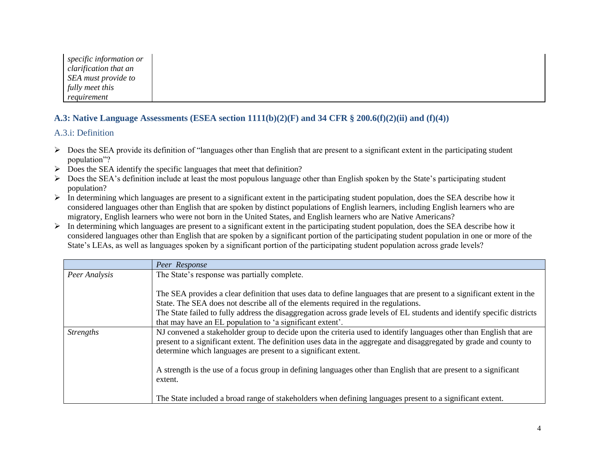| specific information or |
|-------------------------|
| clarification that an   |
| SEA must provide to     |
| fully meet this         |
| requirement             |

## **A.3: Native Language Assessments (ESEA section 1111(b)(2)(F) and 34 CFR § 200.6(f)(2)(ii) and (f)(4))**

## A.3.i: Definition

- Does the SEA provide its definition of "languages other than English that are present to a significant extent in the participating student population"?
- $\triangleright$  Does the SEA identify the specific languages that meet that definition?
- $\triangleright$  Does the SEA's definition include at least the most populous language other than English spoken by the State's participating student population?
- $\triangleright$  In determining which languages are present to a significant extent in the participating student population, does the SEA describe how it considered languages other than English that are spoken by distinct populations of English learners, including English learners who are migratory, English learners who were not born in the United States, and English learners who are Native Americans?
- $\triangleright$  In determining which languages are present to a significant extent in the participating student population, does the SEA describe how it considered languages other than English that are spoken by a significant portion of the participating student population in one or more of the State's LEAs, as well as languages spoken by a significant portion of the participating student population across grade levels?

|                  | Peer Response                                                                                                                                                                                                                                                                                               |
|------------------|-------------------------------------------------------------------------------------------------------------------------------------------------------------------------------------------------------------------------------------------------------------------------------------------------------------|
| Peer Analysis    | The State's response was partially complete.                                                                                                                                                                                                                                                                |
|                  | The SEA provides a clear definition that uses data to define languages that are present to a significant extent in the<br>State. The SEA does not describe all of the elements required in the regulations.                                                                                                 |
|                  | The State failed to fully address the disaggregation across grade levels of EL students and identify specific districts<br>that may have an EL population to 'a significant extent'.                                                                                                                        |
| <i>Strengths</i> | NJ convened a stakeholder group to decide upon the criteria used to identify languages other than English that are<br>present to a significant extent. The definition uses data in the aggregate and disaggregated by grade and county to<br>determine which languages are present to a significant extent. |
|                  | A strength is the use of a focus group in defining languages other than English that are present to a significant<br>extent.                                                                                                                                                                                |
|                  | The State included a broad range of stakeholders when defining languages present to a significant extent.                                                                                                                                                                                                   |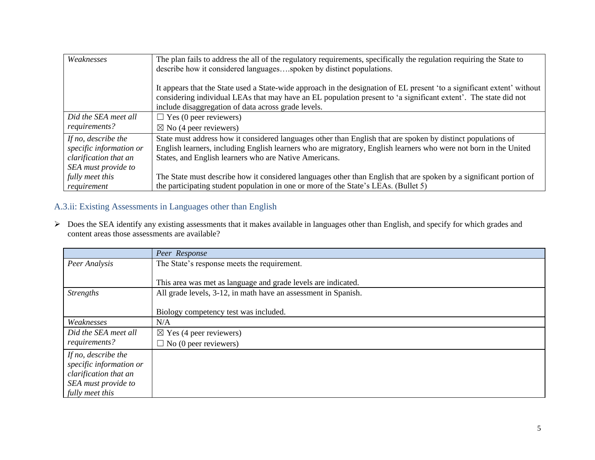| Weaknesses                                                                                     | The plan fails to address the all of the regulatory requirements, specifically the regulation requiring the State to<br>describe how it considered languagesspoken by distinct populations.                                                                                                       |
|------------------------------------------------------------------------------------------------|---------------------------------------------------------------------------------------------------------------------------------------------------------------------------------------------------------------------------------------------------------------------------------------------------|
|                                                                                                | It appears that the State used a State-wide approach in the designation of EL present 'to a significant extent' without<br>considering individual LEAs that may have an EL population present to 'a significant extent'. The state did not<br>include disaggregation of data across grade levels. |
| Did the SEA meet all                                                                           | $\Box$ Yes (0 peer reviewers)                                                                                                                                                                                                                                                                     |
| requirements?                                                                                  | $\boxtimes$ No (4 peer reviewers)                                                                                                                                                                                                                                                                 |
| If no, describe the<br>specific information or<br>clarification that an<br>SEA must provide to | State must address how it considered languages other than English that are spoken by distinct populations of<br>English learners, including English learners who are migratory, English learners who were not born in the United<br>States, and English learners who are Native Americans.        |
| fully meet this<br>requirement                                                                 | The State must describe how it considered languages other than English that are spoken by a significant portion of<br>the participating student population in one or more of the State's LEAs. (Bullet 5)                                                                                         |

## A.3.ii: Existing Assessments in Languages other than English

> Does the SEA identify any existing assessments that it makes available in languages other than English, and specify for which grades and content areas those assessments are available?

|                         | Peer Response                                                  |
|-------------------------|----------------------------------------------------------------|
| Peer Analysis           | The State's response meets the requirement.                    |
|                         |                                                                |
|                         | This area was met as language and grade levels are indicated.  |
| <b>Strengths</b>        | All grade levels, 3-12, in math have an assessment in Spanish. |
|                         |                                                                |
|                         | Biology competency test was included.                          |
| Weaknesses              | N/A                                                            |
| Did the SEA meet all    | $\boxtimes$ Yes (4 peer reviewers)                             |
| requirements?           | $\Box$ No (0 peer reviewers)                                   |
| If no, describe the     |                                                                |
| specific information or |                                                                |
| clarification that an   |                                                                |
| SEA must provide to     |                                                                |
| fully meet this         |                                                                |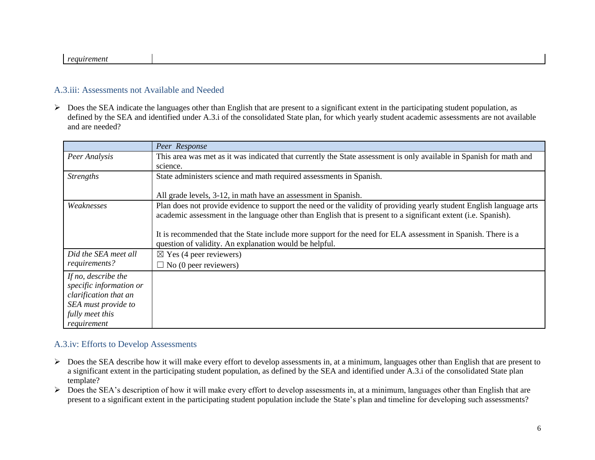#### *requirement*

#### A.3.iii: Assessments not Available and Needed

 $\triangleright$  Does the SEA indicate the languages other than English that are present to a significant extent in the participating student population, as defined by the SEA and identified under A.3.i of the consolidated State plan, for which yearly student academic assessments are not available and are needed?

|                                                                                                                                  | Peer Response                                                                                                                                                                                                                          |
|----------------------------------------------------------------------------------------------------------------------------------|----------------------------------------------------------------------------------------------------------------------------------------------------------------------------------------------------------------------------------------|
| Peer Analysis                                                                                                                    | This area was met as it was indicated that currently the State assessment is only available in Spanish for math and<br>science.                                                                                                        |
| <b>Strengths</b>                                                                                                                 | State administers science and math required assessments in Spanish.                                                                                                                                                                    |
|                                                                                                                                  | All grade levels, 3-12, in math have an assessment in Spanish.                                                                                                                                                                         |
| Weaknesses                                                                                                                       | Plan does not provide evidence to support the need or the validity of providing yearly student English language arts<br>academic assessment in the language other than English that is present to a significant extent (i.e. Spanish). |
|                                                                                                                                  | It is recommended that the State include more support for the need for ELA assessment in Spanish. There is a<br>question of validity. An explanation would be helpful.                                                                 |
| Did the SEA meet all                                                                                                             | $\boxtimes$ Yes (4 peer reviewers)                                                                                                                                                                                                     |
| requirements?                                                                                                                    | $\Box$ No (0 peer reviewers)                                                                                                                                                                                                           |
| If no, describe the<br>specific information or<br>clarification that an<br>SEA must provide to<br>fully meet this<br>requirement |                                                                                                                                                                                                                                        |

## A.3.iv: Efforts to Develop Assessments

- Does the SEA describe how it will make every effort to develop assessments in, at a minimum, languages other than English that are present to a significant extent in the participating student population, as defined by the SEA and identified under A.3.i of the consolidated State plan template?
- $\triangleright$  Does the SEA's description of how it will make every effort to develop assessments in, at a minimum, languages other than English that are present to a significant extent in the participating student population include the State's plan and timeline for developing such assessments?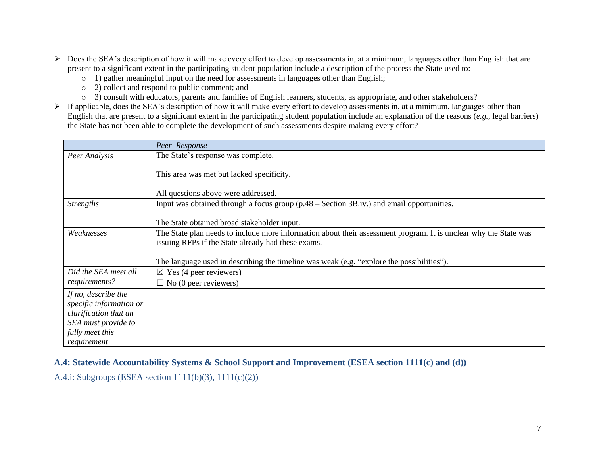- $\triangleright$  Does the SEA's description of how it will make every effort to develop assessments in, at a minimum, languages other than English that are present to a significant extent in the participating student population include a description of the process the State used to:
	- o 1) gather meaningful input on the need for assessments in languages other than English;
	- o 2) collect and respond to public comment; and
	- o 3) consult with educators, parents and families of English learners, students, as appropriate, and other stakeholders?
- $\triangleright$  If applicable, does the SEA's description of how it will make every effort to develop assessments in, at a minimum, languages other than English that are present to a significant extent in the participating student population include an explanation of the reasons (*e.g.*, legal barriers) the State has not been able to complete the development of such assessments despite making every effort?

|                                                                                                                                  | Peer Response                                                                                                                                                          |
|----------------------------------------------------------------------------------------------------------------------------------|------------------------------------------------------------------------------------------------------------------------------------------------------------------------|
| Peer Analysis                                                                                                                    | The State's response was complete.                                                                                                                                     |
|                                                                                                                                  | This area was met but lacked specificity.                                                                                                                              |
|                                                                                                                                  | All questions above were addressed.                                                                                                                                    |
| <b>Strengths</b>                                                                                                                 | Input was obtained through a focus group (p.48 – Section 3B.iv.) and email opportunities.                                                                              |
|                                                                                                                                  | The State obtained broad stakeholder input.                                                                                                                            |
| Weaknesses                                                                                                                       | The State plan needs to include more information about their assessment program. It is unclear why the State was<br>issuing RFPs if the State already had these exams. |
|                                                                                                                                  | The language used in describing the timeline was weak (e.g. "explore the possibilities").                                                                              |
| Did the SEA meet all                                                                                                             | $\boxtimes$ Yes (4 peer reviewers)                                                                                                                                     |
| requirements?                                                                                                                    | $\Box$ No (0 peer reviewers)                                                                                                                                           |
| If no, describe the<br>specific information or<br>clarification that an<br>SEA must provide to<br>fully meet this<br>requirement |                                                                                                                                                                        |

## **A.4: Statewide Accountability Systems & School Support and Improvement (ESEA section 1111(c) and (d))**

A.4.i: Subgroups (ESEA section 1111(b)(3), 1111(c)(2))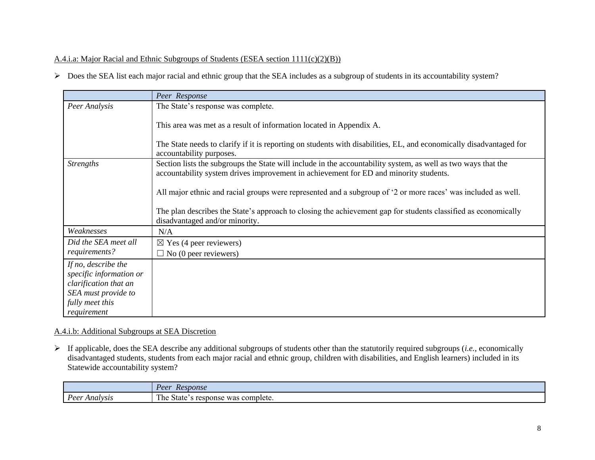## A.4.i.a: Major Racial and Ethnic Subgroups of Students (ESEA section 1111(c)(2)(B))

Does the SEA list each major racial and ethnic group that the SEA includes as a subgroup of students in its accountability system?

|                                                                                                                                  | Peer Response                                                                                                                                                                                          |
|----------------------------------------------------------------------------------------------------------------------------------|--------------------------------------------------------------------------------------------------------------------------------------------------------------------------------------------------------|
| Peer Analysis                                                                                                                    | The State's response was complete.                                                                                                                                                                     |
|                                                                                                                                  | This area was met as a result of information located in Appendix A.                                                                                                                                    |
|                                                                                                                                  | The State needs to clarify if it is reporting on students with disabilities, EL, and economically disadvantaged for<br>accountability purposes.                                                        |
| <b>Strengths</b>                                                                                                                 | Section lists the subgroups the State will include in the accountability system, as well as two ways that the<br>accountability system drives improvement in achievement for ED and minority students. |
|                                                                                                                                  | All major ethnic and racial groups were represented and a subgroup of '2 or more races' was included as well.                                                                                          |
|                                                                                                                                  | The plan describes the State's approach to closing the achievement gap for students classified as economically<br>disadvantaged and/or minority.                                                       |
| Weaknesses                                                                                                                       | N/A                                                                                                                                                                                                    |
| Did the SEA meet all                                                                                                             | $\boxtimes$ Yes (4 peer reviewers)                                                                                                                                                                     |
| requirements?                                                                                                                    | $\Box$ No (0 peer reviewers)                                                                                                                                                                           |
| If no, describe the<br>specific information or<br>clarification that an<br>SEA must provide to<br>fully meet this<br>requirement |                                                                                                                                                                                                        |

## A.4.i.b: Additional Subgroups at SEA Discretion

 If applicable, does the SEA describe any additional subgroups of students other than the statutorily required subgroups (*i.e.*, economically disadvantaged students, students from each major racial and ethnic group, children with disabilities, and English learners) included in its Statewide accountability system?

|                                                     | Peer<br>Response                                                                     |
|-----------------------------------------------------|--------------------------------------------------------------------------------------|
| $\overline{\phantom{a}}$<br>Poor<br>Analysis<br>ັບບ | T <sub>1</sub><br>s complete.<br>was<br>response<br>r per<br>$\mathsf{state}^{\sim}$ |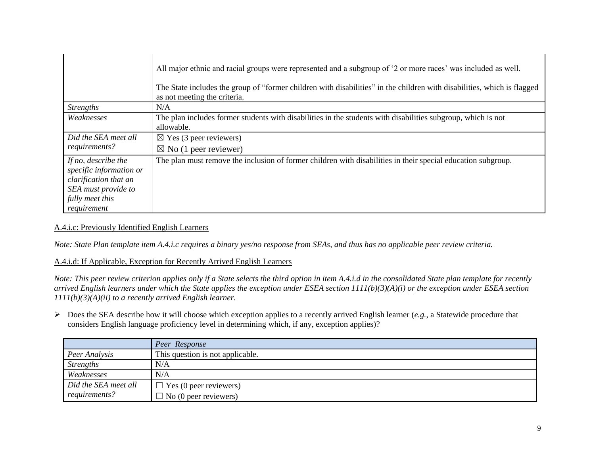|                                                                                                                                  | All major ethnic and racial groups were represented and a subgroup of '2 or more races' was included as well.<br>The State includes the group of "former children with disabilities" in the children with disabilities, which is flagged<br>as not meeting the criteria. |
|----------------------------------------------------------------------------------------------------------------------------------|--------------------------------------------------------------------------------------------------------------------------------------------------------------------------------------------------------------------------------------------------------------------------|
| <i>Strengths</i>                                                                                                                 | N/A                                                                                                                                                                                                                                                                      |
| Weaknesses                                                                                                                       | The plan includes former students with disabilities in the students with disabilities subgroup, which is not<br>allowable.                                                                                                                                               |
| Did the SEA meet all<br>requirements?                                                                                            | $\boxtimes$ Yes (3 peer reviewers)<br>$\boxtimes$ No (1 peer reviewer)                                                                                                                                                                                                   |
| If no, describe the<br>specific information or<br>clarification that an<br>SEA must provide to<br>fully meet this<br>requirement | The plan must remove the inclusion of former children with disabilities in their special education subgroup.                                                                                                                                                             |

## A.4.i.c: Previously Identified English Learners

*Note: State Plan template item A.4.i.c requires a binary yes/no response from SEAs, and thus has no applicable peer review criteria.* 

#### A.4.i.d: If Applicable, Exception for Recently Arrived English Learners

*Note: This peer review criterion applies only if a State selects the third option in item A.4.i.d in the consolidated State plan template for recently arrived English learners under which the State applies the exception under ESEA section 1111(b)(3)(A)(i) or the exception under ESEA section 1111(b)(3)(A)(ii) to a recently arrived English learner.*

 Does the SEA describe how it will choose which exception applies to a recently arrived English learner (*e.g.*, a Statewide procedure that considers English language proficiency level in determining which, if any, exception applies)?

|                      | Peer Response                    |
|----------------------|----------------------------------|
| Peer Analysis        | This question is not applicable. |
| <b>Strengths</b>     | N/A                              |
| Weaknesses           | N/A                              |
| Did the SEA meet all | $\Box$ Yes (0 peer reviewers)    |
| requirements?        | $\Box$ No (0 peer reviewers)     |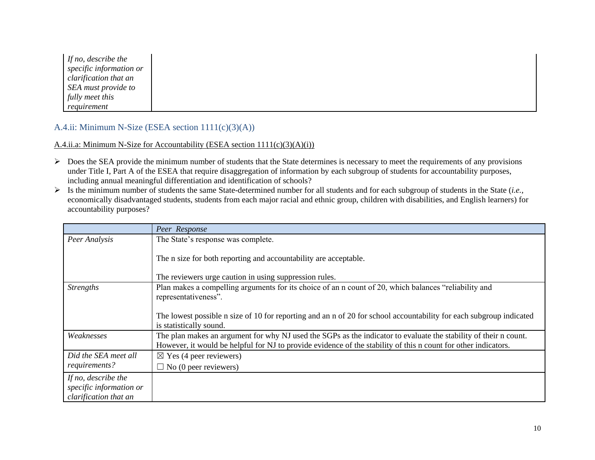*If no, describe the specific information or clarification that an SEA must provide to fully meet this requirement*

## A.4.ii: Minimum N-Size (ESEA section 1111(c)(3)(A))

## A.4.ii.a: Minimum N-Size for Accountability (ESEA section  $1111(c)(3)(A)(i)$ )

- $\triangleright$  Does the SEA provide the minimum number of students that the State determines is necessary to meet the requirements of any provisions under Title I, Part A of the ESEA that require disaggregation of information by each subgroup of students for accountability purposes, including annual meaningful differentiation and identification of schools?
- $\triangleright$  Is the minimum number of students the same State-determined number for all students and for each subgroup of students in the State (*i.e.*, economically disadvantaged students, students from each major racial and ethnic group, children with disabilities, and English learners) for accountability purposes?

|                                                                         | Peer Response                                                                                                                                                                                                                      |
|-------------------------------------------------------------------------|------------------------------------------------------------------------------------------------------------------------------------------------------------------------------------------------------------------------------------|
| Peer Analysis                                                           | The State's response was complete.                                                                                                                                                                                                 |
|                                                                         | The n size for both reporting and accountability are acceptable.                                                                                                                                                                   |
|                                                                         | The reviewers urge caution in using suppression rules.                                                                                                                                                                             |
| <b>Strengths</b>                                                        | Plan makes a compelling arguments for its choice of an n count of 20, which balances "reliability and<br>representativeness".                                                                                                      |
|                                                                         | The lowest possible n size of 10 for reporting and an n of 20 for school accountability for each subgroup indicated<br>is statistically sound.                                                                                     |
| Weaknesses                                                              | The plan makes an argument for why NJ used the SGPs as the indicator to evaluate the stability of their n count.<br>However, it would be helpful for NJ to provide evidence of the stability of this n count for other indicators. |
| Did the SEA meet all                                                    | $\boxtimes$ Yes (4 peer reviewers)                                                                                                                                                                                                 |
| requirements?                                                           | $\Box$ No (0 peer reviewers)                                                                                                                                                                                                       |
| If no, describe the<br>specific information or<br>clarification that an |                                                                                                                                                                                                                                    |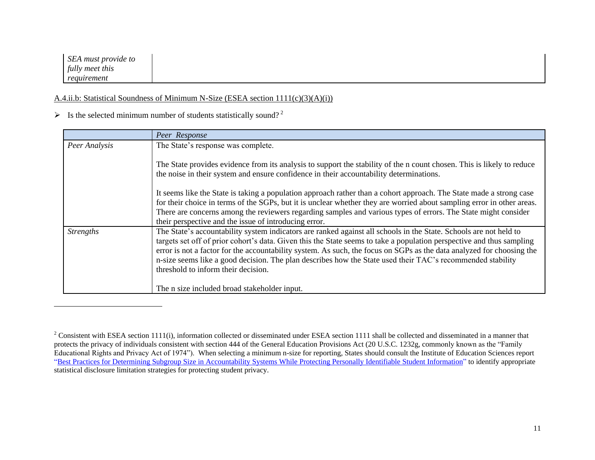## A.4.ii.b: Statistical Soundness of Minimum N-Size (ESEA section 1111(c)(3)(A)(i))

## $\triangleright$  Is the selected minimum number of students statistically sound?<sup>2</sup>

 $\overline{a}$ 

|                  | Peer Response                                                                                                                                                                                                                                                                                                                                                                                                                                                                                                            |
|------------------|--------------------------------------------------------------------------------------------------------------------------------------------------------------------------------------------------------------------------------------------------------------------------------------------------------------------------------------------------------------------------------------------------------------------------------------------------------------------------------------------------------------------------|
| Peer Analysis    | The State's response was complete.                                                                                                                                                                                                                                                                                                                                                                                                                                                                                       |
|                  | The State provides evidence from its analysis to support the stability of the n count chosen. This is likely to reduce<br>the noise in their system and ensure confidence in their accountability determinations.                                                                                                                                                                                                                                                                                                        |
|                  | It seems like the State is taking a population approach rather than a cohort approach. The State made a strong case<br>for their choice in terms of the SGPs, but it is unclear whether they are worried about sampling error in other areas.<br>There are concerns among the reviewers regarding samples and various types of errors. The State might consider<br>their perspective and the issue of introducing error.                                                                                                 |
| <i>Strengths</i> | The State's accountability system indicators are ranked against all schools in the State. Schools are not held to<br>targets set off of prior cohort's data. Given this the State seems to take a population perspective and thus sampling<br>error is not a factor for the accountability system. As such, the focus on SGPs as the data analyzed for choosing the<br>n-size seems like a good decision. The plan describes how the State used their TAC's recommended stability<br>threshold to inform their decision. |
|                  | The n size included broad stakeholder input.                                                                                                                                                                                                                                                                                                                                                                                                                                                                             |

<sup>&</sup>lt;sup>2</sup> Consistent with ESEA section 1111(i), information collected or disseminated under ESEA section 1111 shall be collected and disseminated in a manner that protects the privacy of individuals consistent with section 444 of the General Education Provisions Act (20 U.S.C. 1232g, commonly known as the "Family Educational Rights and Privacy Act of 1974"). When selecting a minimum n-size for reporting, States should consult the Institute of Education Sciences report ["Best Practices for Determining Subgroup Size in Accountability Systems While Protecting Personally Identifiable Student Information"](https://nces.ed.gov/pubs2017/2017147.pdf) to identify appropriate statistical disclosure limitation strategies for protecting student privacy.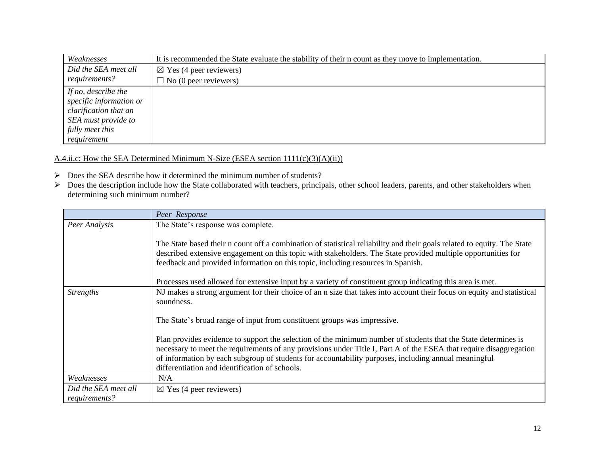| Weaknesses              | It is recommended the State evaluate the stability of their n count as they move to implementation. |
|-------------------------|-----------------------------------------------------------------------------------------------------|
| Did the SEA meet all    | $\boxtimes$ Yes (4 peer reviewers)                                                                  |
| requirements?           | $\Box$ No (0 peer reviewers)                                                                        |
| If no, describe the     |                                                                                                     |
| specific information or |                                                                                                     |
| clarification that an   |                                                                                                     |
| SEA must provide to     |                                                                                                     |
| fully meet this         |                                                                                                     |
| requirement             |                                                                                                     |

A.4.ii.c: How the SEA Determined Minimum N-Size (ESEA section 1111(c)(3)(A)(ii))

- Does the SEA describe how it determined the minimum number of students?
- $\triangleright$  Does the description include how the State collaborated with teachers, principals, other school leaders, parents, and other stakeholders when determining such minimum number?

|                                       | Peer Response                                                                                                                                                                                                                                                                                                                                                                                  |
|---------------------------------------|------------------------------------------------------------------------------------------------------------------------------------------------------------------------------------------------------------------------------------------------------------------------------------------------------------------------------------------------------------------------------------------------|
| Peer Analysis                         | The State's response was complete.                                                                                                                                                                                                                                                                                                                                                             |
|                                       | The State based their n count off a combination of statistical reliability and their goals related to equity. The State<br>described extensive engagement on this topic with stakeholders. The State provided multiple opportunities for<br>feedback and provided information on this topic, including resources in Spanish.                                                                   |
|                                       | Processes used allowed for extensive input by a variety of constituent group indicating this area is met.                                                                                                                                                                                                                                                                                      |
| <b>Strengths</b>                      | NJ makes a strong argument for their choice of an n size that takes into account their focus on equity and statistical<br>soundness.                                                                                                                                                                                                                                                           |
|                                       | The State's broad range of input from constituent groups was impressive.                                                                                                                                                                                                                                                                                                                       |
|                                       | Plan provides evidence to support the selection of the minimum number of students that the State determines is<br>necessary to meet the requirements of any provisions under Title I, Part A of the ESEA that require disaggregation<br>of information by each subgroup of students for accountability purposes, including annual meaningful<br>differentiation and identification of schools. |
| Weaknesses                            | N/A                                                                                                                                                                                                                                                                                                                                                                                            |
| Did the SEA meet all<br>requirements? | $\boxtimes$ Yes (4 peer reviewers)                                                                                                                                                                                                                                                                                                                                                             |
|                                       |                                                                                                                                                                                                                                                                                                                                                                                                |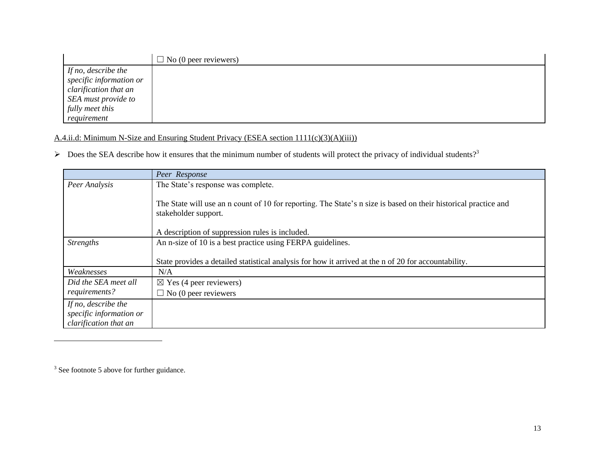|                         | $\Box$ No (0 peer reviewers) |
|-------------------------|------------------------------|
| If no, describe the     |                              |
| specific information or |                              |
| clarification that an   |                              |
| SEA must provide to     |                              |
| fully meet this         |                              |
| requirement             |                              |

## A.4.ii.d: Minimum N-Size and Ensuring Student Privacy (ESEA section 1111(c)(3)(A)(iii))

 $\triangleright$  Does the SEA describe how it ensures that the minimum number of students will protect the privacy of individual students?<sup>3</sup>

|                                                                         | Peer Response                                                                                                                           |
|-------------------------------------------------------------------------|-----------------------------------------------------------------------------------------------------------------------------------------|
| Peer Analysis                                                           | The State's response was complete.                                                                                                      |
|                                                                         | The State will use an n count of 10 for reporting. The State's n size is based on their historical practice and<br>stakeholder support. |
|                                                                         | A description of suppression rules is included.                                                                                         |
| <i>Strengths</i>                                                        | An n-size of 10 is a best practice using FERPA guidelines.                                                                              |
|                                                                         | State provides a detailed statistical analysis for how it arrived at the n of 20 for accountability.                                    |
| Weaknesses                                                              | N/A                                                                                                                                     |
| Did the SEA meet all                                                    | $\boxtimes$ Yes (4 peer reviewers)                                                                                                      |
| requirements?                                                           | $\Box$ No (0 peer reviewers                                                                                                             |
| If no, describe the<br>specific information or<br>clarification that an |                                                                                                                                         |

 $3$  See footnote 5 above for further guidance.

 $\overline{a}$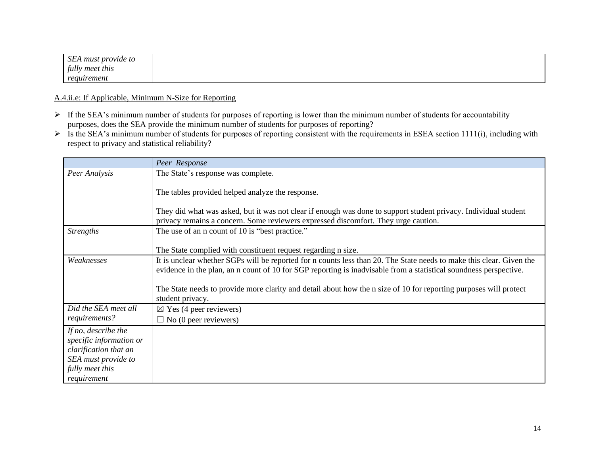| SEA must provide to |  |  |  |
|---------------------|--|--|--|
| fully meet this     |  |  |  |
| requirement         |  |  |  |

#### A.4.ii.e: If Applicable, Minimum N-Size for Reporting

- If the SEA's minimum number of students for purposes of reporting is lower than the minimum number of students for accountability purposes, does the SEA provide the minimum number of students for purposes of reporting?
- $\triangleright$  Is the SEA's minimum number of students for purposes of reporting consistent with the requirements in ESEA section 1111(i), including with respect to privacy and statistical reliability?

|                                                                                                                                  | Peer Response                                                                                                                                                                                                                             |
|----------------------------------------------------------------------------------------------------------------------------------|-------------------------------------------------------------------------------------------------------------------------------------------------------------------------------------------------------------------------------------------|
| Peer Analysis                                                                                                                    | The State's response was complete.                                                                                                                                                                                                        |
|                                                                                                                                  | The tables provided helped analyze the response.                                                                                                                                                                                          |
|                                                                                                                                  | They did what was asked, but it was not clear if enough was done to support student privacy. Individual student<br>privacy remains a concern. Some reviewers expressed discomfort. They urge caution.                                     |
| <b>Strengths</b>                                                                                                                 | The use of an n count of 10 is "best practice."                                                                                                                                                                                           |
|                                                                                                                                  | The State complied with constituent request regarding n size.                                                                                                                                                                             |
| Weaknesses                                                                                                                       | It is unclear whether SGPs will be reported for n counts less than 20. The State needs to make this clear. Given the<br>evidence in the plan, an n count of 10 for SGP reporting is inadvisable from a statistical soundness perspective. |
|                                                                                                                                  | The State needs to provide more clarity and detail about how the n size of 10 for reporting purposes will protect<br>student privacy.                                                                                                     |
| Did the SEA meet all                                                                                                             | $\boxtimes$ Yes (4 peer reviewers)                                                                                                                                                                                                        |
| requirements?                                                                                                                    | $\Box$ No (0 peer reviewers)                                                                                                                                                                                                              |
| If no, describe the<br>specific information or<br>clarification that an<br>SEA must provide to<br>fully meet this<br>requirement |                                                                                                                                                                                                                                           |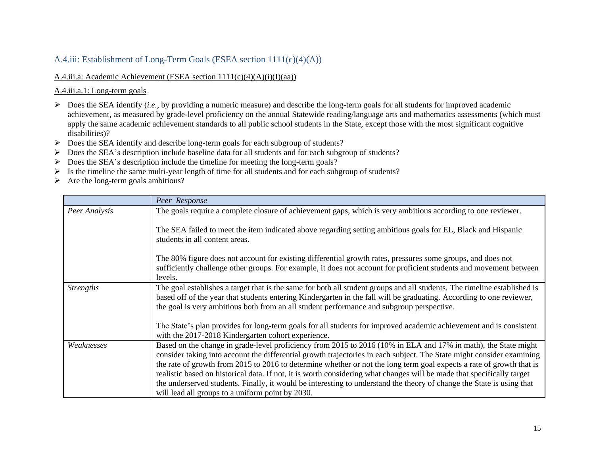## A.4.iii: Establishment of Long-Term Goals (ESEA section 1111(c)(4)(A))

## A.4.iii.a: Academic Achievement (ESEA section 1111(c)(4)(A)(i)(I)(aa))

A.4.iii.a.1: Long-term goals

- $\triangleright$  Does the SEA identify (*i.e.*, by providing a numeric measure) and describe the long-term goals for all students for improved academic achievement, as measured by grade-level proficiency on the annual Statewide reading/language arts and mathematics assessments (which must apply the same academic achievement standards to all public school students in the State, except those with the most significant cognitive disabilities)?
- Does the SEA identify and describe long-term goals for each subgroup of students?
- $\triangleright$  Does the SEA's description include baseline data for all students and for each subgroup of students?
- Does the SEA's description include the timeline for meeting the long-term goals?
- Is the timeline the same multi-year length of time for all students and for each subgroup of students?
- $\triangleright$  Are the long-term goals ambitious?

|                  | Peer Response                                                                                                                                                                                                                                                                                                                                                                                                                                                                                                                                                                                                                                                          |
|------------------|------------------------------------------------------------------------------------------------------------------------------------------------------------------------------------------------------------------------------------------------------------------------------------------------------------------------------------------------------------------------------------------------------------------------------------------------------------------------------------------------------------------------------------------------------------------------------------------------------------------------------------------------------------------------|
| Peer Analysis    | The goals require a complete closure of achievement gaps, which is very ambitious according to one reviewer.                                                                                                                                                                                                                                                                                                                                                                                                                                                                                                                                                           |
|                  | The SEA failed to meet the item indicated above regarding setting ambitious goals for EL, Black and Hispanic<br>students in all content areas.                                                                                                                                                                                                                                                                                                                                                                                                                                                                                                                         |
|                  | The 80% figure does not account for existing differential growth rates, pressures some groups, and does not<br>sufficiently challenge other groups. For example, it does not account for proficient students and movement between<br>levels.                                                                                                                                                                                                                                                                                                                                                                                                                           |
| <b>Strengths</b> | The goal establishes a target that is the same for both all student groups and all students. The timeline established is<br>based off of the year that students entering Kindergarten in the fall will be graduating. According to one reviewer,<br>the goal is very ambitious both from an all student performance and subgroup perspective.                                                                                                                                                                                                                                                                                                                          |
|                  | The State's plan provides for long-term goals for all students for improved academic achievement and is consistent<br>with the 2017-2018 Kindergarten cohort experience.                                                                                                                                                                                                                                                                                                                                                                                                                                                                                               |
| Weaknesses       | Based on the change in grade-level proficiency from 2015 to 2016 (10% in ELA and 17% in math), the State might<br>consider taking into account the differential growth trajectories in each subject. The State might consider examining<br>the rate of growth from 2015 to 2016 to determine whether or not the long term goal expects a rate of growth that is<br>realistic based on historical data. If not, it is worth considering what changes will be made that specifically target<br>the underserved students. Finally, it would be interesting to understand the theory of change the State is using that<br>will lead all groups to a uniform point by 2030. |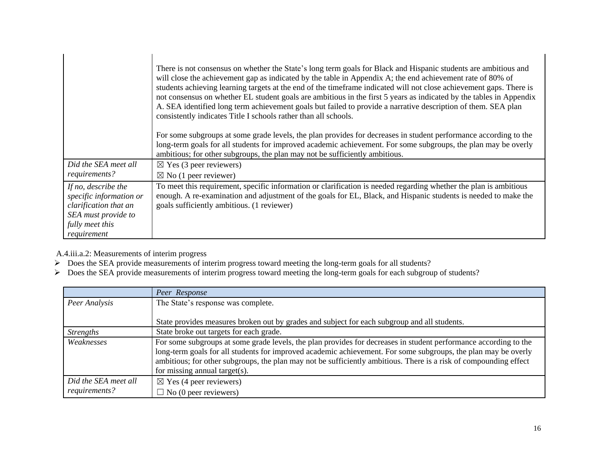|                                                                         | There is not consensus on whether the State's long term goals for Black and Hispanic students are ambitious and<br>will close the achievement gap as indicated by the table in Appendix A; the end achievement rate of 80% of<br>students achieving learning targets at the end of the timeframe indicated will not close achievement gaps. There is<br>not consensus on whether EL student goals are ambitious in the first 5 years as indicated by the tables in Appendix<br>A. SEA identified long term achievement goals but failed to provide a narrative description of them. SEA plan<br>consistently indicates Title I schools rather than all schools. |
|-------------------------------------------------------------------------|-----------------------------------------------------------------------------------------------------------------------------------------------------------------------------------------------------------------------------------------------------------------------------------------------------------------------------------------------------------------------------------------------------------------------------------------------------------------------------------------------------------------------------------------------------------------------------------------------------------------------------------------------------------------|
|                                                                         | For some subgroups at some grade levels, the plan provides for decreases in student performance according to the<br>long-term goals for all students for improved academic achievement. For some subgroups, the plan may be overly<br>ambitious; for other subgroups, the plan may not be sufficiently ambitious.                                                                                                                                                                                                                                                                                                                                               |
| Did the SEA meet all                                                    | $\boxtimes$ Yes (3 peer reviewers)                                                                                                                                                                                                                                                                                                                                                                                                                                                                                                                                                                                                                              |
| requirements?                                                           | $\boxtimes$ No (1 peer reviewer)                                                                                                                                                                                                                                                                                                                                                                                                                                                                                                                                                                                                                                |
| If no, describe the<br>specific information or<br>clarification that an | To meet this requirement, specific information or clarification is needed regarding whether the plan is ambitious<br>enough. A re-examination and adjustment of the goals for EL, Black, and Hispanic students is needed to make the<br>goals sufficiently ambitious. (1 reviewer)                                                                                                                                                                                                                                                                                                                                                                              |
| SEA must provide to                                                     |                                                                                                                                                                                                                                                                                                                                                                                                                                                                                                                                                                                                                                                                 |
| fully meet this                                                         |                                                                                                                                                                                                                                                                                                                                                                                                                                                                                                                                                                                                                                                                 |
| requirement                                                             |                                                                                                                                                                                                                                                                                                                                                                                                                                                                                                                                                                                                                                                                 |

A.4.iii.a.2: Measurements of interim progress

- $\triangleright$  Does the SEA provide measurements of interim progress toward meeting the long-term goals for all students?
- Does the SEA provide measurements of interim progress toward meeting the long-term goals for each subgroup of students?

|                                       | Peer Response                                                                                                                                                                                                                                                                                                                                                                            |
|---------------------------------------|------------------------------------------------------------------------------------------------------------------------------------------------------------------------------------------------------------------------------------------------------------------------------------------------------------------------------------------------------------------------------------------|
| Peer Analysis                         | The State's response was complete.                                                                                                                                                                                                                                                                                                                                                       |
|                                       | State provides measures broken out by grades and subject for each subgroup and all students.                                                                                                                                                                                                                                                                                             |
| <b>Strengths</b>                      | State broke out targets for each grade.                                                                                                                                                                                                                                                                                                                                                  |
| Weaknesses                            | For some subgroups at some grade levels, the plan provides for decreases in student performance according to the<br>long-term goals for all students for improved academic achievement. For some subgroups, the plan may be overly<br>ambitious; for other subgroups, the plan may not be sufficiently ambitious. There is a risk of compounding effect<br>for missing annual target(s). |
| Did the SEA meet all<br>requirements? | $\boxtimes$ Yes (4 peer reviewers)<br>$\Box$ No (0 peer reviewers)                                                                                                                                                                                                                                                                                                                       |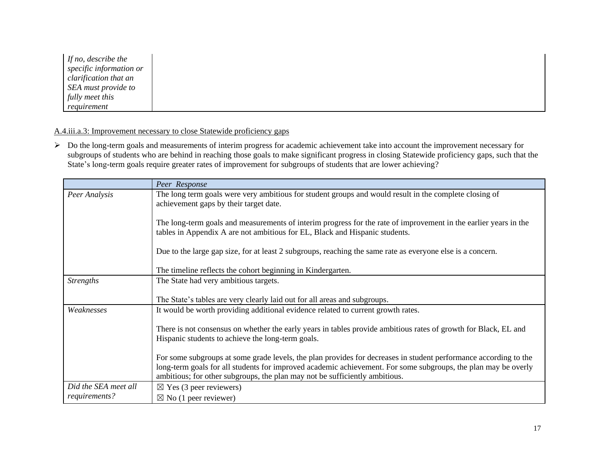| If no, describe the     |
|-------------------------|
| specific information or |
| clarification that an   |
| SEA must provide to     |
| fully meet this         |
| requirement             |

## A.4.iii.a.3: Improvement necessary to close Statewide proficiency gaps

> Do the long-term goals and measurements of interim progress for academic achievement take into account the improvement necessary for subgroups of students who are behind in reaching those goals to make significant progress in closing Statewide proficiency gaps, such that the State's long-term goals require greater rates of improvement for subgroups of students that are lower achieving?

|                      | Peer Response                                                                                                                                                                                                                                                                                                     |
|----------------------|-------------------------------------------------------------------------------------------------------------------------------------------------------------------------------------------------------------------------------------------------------------------------------------------------------------------|
| Peer Analysis        | The long term goals were very ambitious for student groups and would result in the complete closing of<br>achievement gaps by their target date.                                                                                                                                                                  |
|                      | The long-term goals and measurements of interim progress for the rate of improvement in the earlier years in the<br>tables in Appendix A are not ambitious for EL, Black and Hispanic students.                                                                                                                   |
|                      | Due to the large gap size, for at least 2 subgroups, reaching the same rate as everyone else is a concern.                                                                                                                                                                                                        |
|                      | The timeline reflects the cohort beginning in Kindergarten.                                                                                                                                                                                                                                                       |
| <b>Strengths</b>     | The State had very ambitious targets.                                                                                                                                                                                                                                                                             |
|                      | The State's tables are very clearly laid out for all areas and subgroups.                                                                                                                                                                                                                                         |
| Weaknesses           | It would be worth providing additional evidence related to current growth rates.                                                                                                                                                                                                                                  |
|                      | There is not consensus on whether the early years in tables provide ambitious rates of growth for Black, EL and<br>Hispanic students to achieve the long-term goals.                                                                                                                                              |
|                      | For some subgroups at some grade levels, the plan provides for decreases in student performance according to the<br>long-term goals for all students for improved academic achievement. For some subgroups, the plan may be overly<br>ambitious; for other subgroups, the plan may not be sufficiently ambitious. |
| Did the SEA meet all | $\boxtimes$ Yes (3 peer reviewers)                                                                                                                                                                                                                                                                                |
| requirements?        | $\boxtimes$ No (1 peer reviewer)                                                                                                                                                                                                                                                                                  |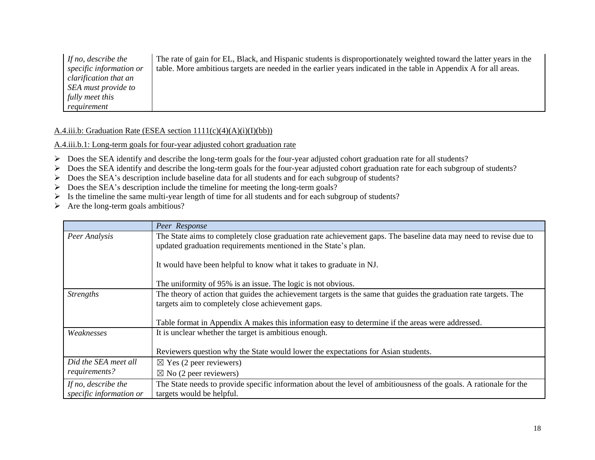*If no, describe the specific information or clarification that an SEA must provide to fully meet this requirement* The rate of gain for EL, Black, and Hispanic students is disproportionately weighted toward the latter years in the table. More ambitious targets are needed in the earlier years indicated in the table in Appendix A for all areas.

#### A.4.iii.b: Graduation Rate (ESEA section  $1111(c)(4)(A)(i)(I)(bb)$ )

A.4.iii.b.1: Long-term goals for four-year adjusted cohort graduation rate

- Does the SEA identify and describe the long-term goals for the four-year adjusted cohort graduation rate for all students?
- Does the SEA identify and describe the long-term goals for the four-year adjusted cohort graduation rate for each subgroup of students?
- Does the SEA's description include baseline data for all students and for each subgroup of students?
- $\triangleright$  Does the SEA's description include the timeline for meeting the long-term goals?
- $\triangleright$  Is the timeline the same multi-year length of time for all students and for each subgroup of students?
- $\triangleright$  Are the long-term goals ambitious?

|                                                | Peer Response                                                                                                                                                                      |  |
|------------------------------------------------|------------------------------------------------------------------------------------------------------------------------------------------------------------------------------------|--|
| Peer Analysis                                  | The State aims to completely close graduation rate achievement gaps. The baseline data may need to revise due to<br>updated graduation requirements mentioned in the State's plan. |  |
|                                                | It would have been helpful to know what it takes to graduate in NJ.                                                                                                                |  |
|                                                | The uniformity of 95% is an issue. The logic is not obvious.                                                                                                                       |  |
| <b>Strengths</b>                               | The theory of action that guides the achievement targets is the same that guides the graduation rate targets. The<br>targets aim to completely close achievement gaps.             |  |
|                                                | Table format in Appendix A makes this information easy to determine if the areas were addressed.                                                                                   |  |
| Weaknesses                                     | It is unclear whether the target is ambitious enough.                                                                                                                              |  |
|                                                | Reviewers question why the State would lower the expectations for Asian students.                                                                                                  |  |
| Did the SEA meet all                           | $\boxtimes$ Yes (2 peer reviewers)                                                                                                                                                 |  |
| requirements?                                  | $\boxtimes$ No (2 peer reviewers)                                                                                                                                                  |  |
| If no, describe the<br>specific information or | The State needs to provide specific information about the level of ambitiousness of the goals. A rationale for the<br>targets would be helpful.                                    |  |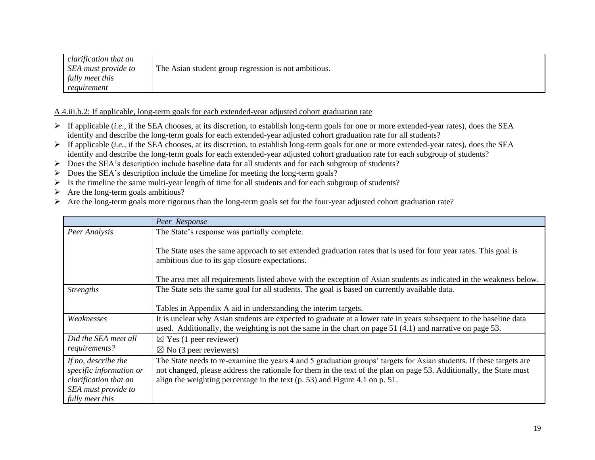| clarification that an |                                                      |
|-----------------------|------------------------------------------------------|
| SEA must provide to   | The Asian student group regression is not ambitious. |
| fully meet this       |                                                      |
| requirement           |                                                      |

A.4.iii.b.2: If applicable, long-term goals for each extended-year adjusted cohort graduation rate

- $\triangleright$  If applicable (*i.e.*, if the SEA chooses, at its discretion, to establish long-term goals for one or more extended-year rates), does the SEA identify and describe the long-term goals for each extended-year adjusted cohort graduation rate for all students?
- If applicable (*i.e.*, if the SEA chooses, at its discretion, to establish long-term goals for one or more extended-year rates), does the SEA identify and describe the long-term goals for each extended-year adjusted cohort graduation rate for each subgroup of students?
- Does the SEA's description include baseline data for all students and for each subgroup of students?
- $\triangleright$  Does the SEA's description include the timeline for meeting the long-term goals?
- $\triangleright$  Is the timeline the same multi-year length of time for all students and for each subgroup of students?
- $\triangleright$  Are the long-term goals ambitious?
- Are the long-term goals more rigorous than the long-term goals set for the four-year adjusted cohort graduation rate?

|                                                                                                                   | Peer Response                                                                                                                                                                                                                                                                                                             |
|-------------------------------------------------------------------------------------------------------------------|---------------------------------------------------------------------------------------------------------------------------------------------------------------------------------------------------------------------------------------------------------------------------------------------------------------------------|
| Peer Analysis                                                                                                     | The State's response was partially complete.                                                                                                                                                                                                                                                                              |
|                                                                                                                   | The State uses the same approach to set extended graduation rates that is used for four year rates. This goal is<br>ambitious due to its gap closure expectations.                                                                                                                                                        |
|                                                                                                                   | The area met all requirements listed above with the exception of Asian students as indicated in the weakness below.                                                                                                                                                                                                       |
| <b>Strengths</b>                                                                                                  | The State sets the same goal for all students. The goal is based on currently available data.                                                                                                                                                                                                                             |
|                                                                                                                   | Tables in Appendix A aid in understanding the interim targets.                                                                                                                                                                                                                                                            |
| Weaknesses                                                                                                        | It is unclear why Asian students are expected to graduate at a lower rate in years subsequent to the baseline data<br>used. Additionally, the weighting is not the same in the chart on page 51 (4.1) and narrative on page 53.                                                                                           |
| Did the SEA meet all                                                                                              | $\boxtimes$ Yes (1 peer reviewer)                                                                                                                                                                                                                                                                                         |
| requirements?                                                                                                     | $\boxtimes$ No (3 peer reviewers)                                                                                                                                                                                                                                                                                         |
| If no, describe the<br>specific information or<br>clarification that an<br>SEA must provide to<br>fully meet this | The State needs to re-examine the years 4 and 5 graduation groups' targets for Asian students. If these targets are<br>not changed, please address the rationale for them in the text of the plan on page 53. Additionally, the State must<br>align the weighting percentage in the text (p. 53) and Figure 4.1 on p. 51. |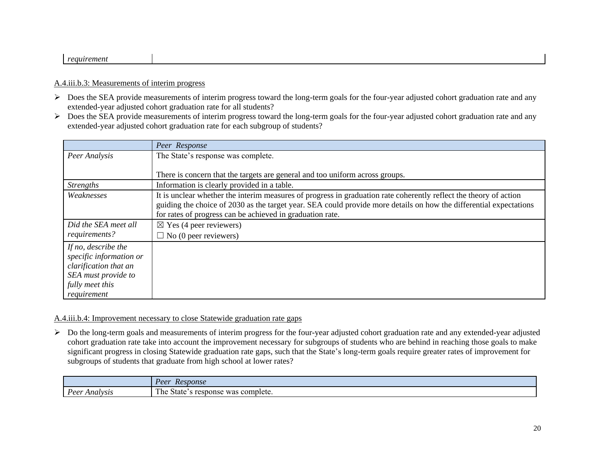#### *requirement*

## A.4.iii.b.3: Measurements of interim progress

- $\triangleright$  Does the SEA provide measurements of interim progress toward the long-term goals for the four-year adjusted cohort graduation rate and any extended-year adjusted cohort graduation rate for all students?
- Does the SEA provide measurements of interim progress toward the long-term goals for the four-year adjusted cohort graduation rate and any extended-year adjusted cohort graduation rate for each subgroup of students?

|                                                                                                                                  | Peer Response                                                                                                                                                                                                                                                                                        |
|----------------------------------------------------------------------------------------------------------------------------------|------------------------------------------------------------------------------------------------------------------------------------------------------------------------------------------------------------------------------------------------------------------------------------------------------|
| Peer Analysis                                                                                                                    | The State's response was complete.                                                                                                                                                                                                                                                                   |
|                                                                                                                                  | There is concern that the targets are general and too uniform across groups.                                                                                                                                                                                                                         |
| <b>Strengths</b>                                                                                                                 | Information is clearly provided in a table.                                                                                                                                                                                                                                                          |
| Weaknesses                                                                                                                       | It is unclear whether the interim measures of progress in graduation rate coherently reflect the theory of action<br>guiding the choice of 2030 as the target year. SEA could provide more details on how the differential expectations<br>for rates of progress can be achieved in graduation rate. |
| Did the SEA meet all                                                                                                             | $\boxtimes$ Yes (4 peer reviewers)                                                                                                                                                                                                                                                                   |
| requirements?                                                                                                                    | $\Box$ No (0 peer reviewers)                                                                                                                                                                                                                                                                         |
| If no, describe the<br>specific information or<br>clarification that an<br>SEA must provide to<br>fully meet this<br>requirement |                                                                                                                                                                                                                                                                                                      |

#### A.4.iii.b.4: Improvement necessary to close Statewide graduation rate gaps

 Do the long-term goals and measurements of interim progress for the four-year adjusted cohort graduation rate and any extended-year adjusted cohort graduation rate take into account the improvement necessary for subgroups of students who are behind in reaching those goals to make significant progress in closing Statewide graduation rate gaps, such that the State's long-term goals require greater rates of improvement for subgroups of students that graduate from high school at lower rates?

|                         | Peer<br><i>Response</i>                                 |
|-------------------------|---------------------------------------------------------|
| Poor<br>Analysis :<br>◡ | T1<br>s complete.<br>r pe :<br>State<br>response<br>was |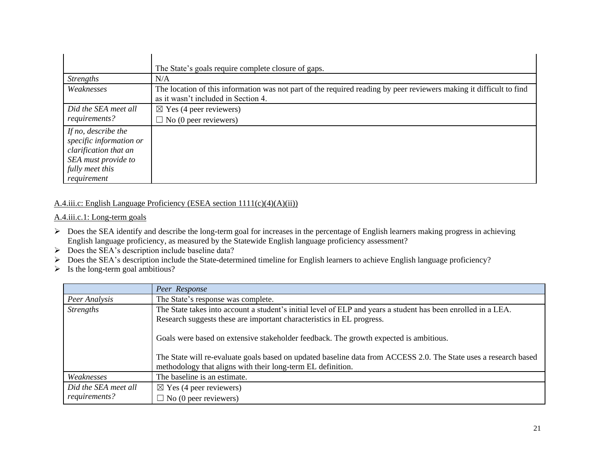|                                                                                                                                  | The State's goals require complete closure of gaps.                                                                                                        |
|----------------------------------------------------------------------------------------------------------------------------------|------------------------------------------------------------------------------------------------------------------------------------------------------------|
| <b>Strengths</b>                                                                                                                 | N/A                                                                                                                                                        |
| Weaknesses                                                                                                                       | The location of this information was not part of the required reading by peer reviewers making it difficult to find<br>as it wasn't included in Section 4. |
| Did the SEA meet all<br>requirements?                                                                                            | $\boxtimes$ Yes (4 peer reviewers)<br>$\Box$ No (0 peer reviewers)                                                                                         |
| If no, describe the<br>specific information or<br>clarification that an<br>SEA must provide to<br>fully meet this<br>requirement |                                                                                                                                                            |

## A.4.iii.c: English Language Proficiency (ESEA section 1111(c)(4)(A)(ii))

## A.4.iii.c.1: Long-term goals

- $\triangleright$  Does the SEA identify and describe the long-term goal for increases in the percentage of English learners making progress in achieving English language proficiency, as measured by the Statewide English language proficiency assessment?
- $\triangleright$  Does the SEA's description include baseline data?
- Does the SEA's description include the State-determined timeline for English learners to achieve English language proficiency?
- $\triangleright$  Is the long-term goal ambitious?

|                      | Peer Response                                                                                                                                                                                                                                                            |
|----------------------|--------------------------------------------------------------------------------------------------------------------------------------------------------------------------------------------------------------------------------------------------------------------------|
| Peer Analysis        | The State's response was complete.                                                                                                                                                                                                                                       |
| <b>Strengths</b>     | The State takes into account a student's initial level of ELP and years a student has been enrolled in a LEA.                                                                                                                                                            |
|                      | Research suggests these are important characteristics in EL progress.                                                                                                                                                                                                    |
|                      | Goals were based on extensive stakeholder feedback. The growth expected is ambitious.<br>The State will re-evaluate goals based on updated baseline data from ACCESS 2.0. The State uses a research based<br>methodology that aligns with their long-term EL definition. |
| Weaknesses           | The baseline is an estimate.                                                                                                                                                                                                                                             |
| Did the SEA meet all | $\boxtimes$ Yes (4 peer reviewers)                                                                                                                                                                                                                                       |
| requirements?        | $\Box$ No (0 peer reviewers)                                                                                                                                                                                                                                             |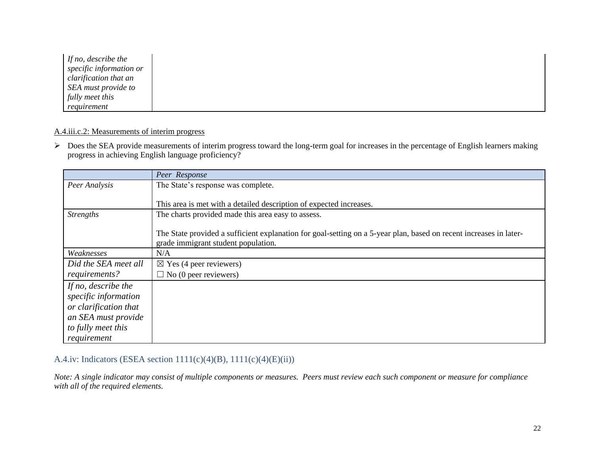| If no, describe the     |  |  |  |
|-------------------------|--|--|--|
| specific information or |  |  |  |
| clarification that an   |  |  |  |
| SEA must provide to     |  |  |  |
| fully meet this         |  |  |  |
| requirement             |  |  |  |

## A.4.iii.c.2: Measurements of interim progress

 $\triangleright$  Does the SEA provide measurements of interim progress toward the long-term goal for increases in the percentage of English learners making progress in achieving English language proficiency?

|                       | Peer Response                                                                                                      |
|-----------------------|--------------------------------------------------------------------------------------------------------------------|
| Peer Analysis         | The State's response was complete.                                                                                 |
|                       |                                                                                                                    |
|                       | This area is met with a detailed description of expected increases.                                                |
| <b>Strengths</b>      | The charts provided made this area easy to assess.                                                                 |
|                       |                                                                                                                    |
|                       | The State provided a sufficient explanation for goal-setting on a 5-year plan, based on recent increases in later- |
|                       | grade immigrant student population.                                                                                |
| Weaknesses            | N/A                                                                                                                |
| Did the SEA meet all  | $\boxtimes$ Yes (4 peer reviewers)                                                                                 |
| requirements?         | $\Box$ No (0 peer reviewers)                                                                                       |
| If no, describe the   |                                                                                                                    |
| specific information  |                                                                                                                    |
| or clarification that |                                                                                                                    |
| an SEA must provide   |                                                                                                                    |
| to fully meet this    |                                                                                                                    |
| requirement           |                                                                                                                    |

## A.4.iv: Indicators (ESEA section 1111(c)(4)(B), 1111(c)(4)(E)(ii))

*Note: A single indicator may consist of multiple components or measures. Peers must review each such component or measure for compliance with all of the required elements.*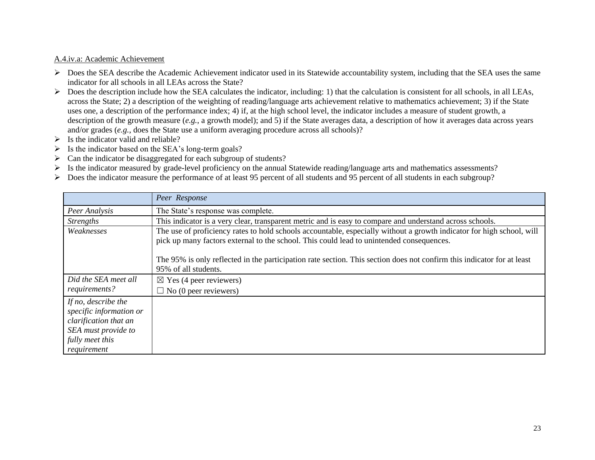#### A.4.iv.a: Academic Achievement

- $\triangleright$  Does the SEA describe the Academic Achievement indicator used in its Statewide accountability system, including that the SEA uses the same indicator for all schools in all LEAs across the State?
- $\triangleright$  Does the description include how the SEA calculates the indicator, including: 1) that the calculation is consistent for all schools, in all LEAs, across the State; 2) a description of the weighting of reading/language arts achievement relative to mathematics achievement; 3) if the State uses one, a description of the performance index; 4) if, at the high school level, the indicator includes a measure of student growth, a description of the growth measure (*e.g.*, a growth model); and 5) if the State averages data, a description of how it averages data across years and/or grades (*e.g.*, does the State use a uniform averaging procedure across all schools)?
- $\triangleright$  Is the indicator valid and reliable?
- $\triangleright$  Is the indicator based on the SEA's long-term goals?
- $\triangleright$  Can the indicator be disaggregated for each subgroup of students?
- Is the indicator measured by grade-level proficiency on the annual Statewide reading/language arts and mathematics assessments?
- Does the indicator measure the performance of at least 95 percent of all students and 95 percent of all students in each subgroup?

|                                                                                                                                  | Peer Response                                                                                                                                                                                                     |  |
|----------------------------------------------------------------------------------------------------------------------------------|-------------------------------------------------------------------------------------------------------------------------------------------------------------------------------------------------------------------|--|
| Peer Analysis                                                                                                                    | The State's response was complete.                                                                                                                                                                                |  |
| <b>Strengths</b>                                                                                                                 | This indicator is a very clear, transparent metric and is easy to compare and understand across schools.                                                                                                          |  |
| Weaknesses                                                                                                                       | The use of proficiency rates to hold schools accountable, especially without a growth indicator for high school, will<br>pick up many factors external to the school. This could lead to unintended consequences. |  |
|                                                                                                                                  | The 95% is only reflected in the participation rate section. This section does not confirm this indicator for at least<br>95% of all students.                                                                    |  |
| Did the SEA meet all                                                                                                             | $\boxtimes$ Yes (4 peer reviewers)                                                                                                                                                                                |  |
| requirements?                                                                                                                    | $\Box$ No (0 peer reviewers)                                                                                                                                                                                      |  |
| If no, describe the<br>specific information or<br>clarification that an<br>SEA must provide to<br>fully meet this<br>requirement |                                                                                                                                                                                                                   |  |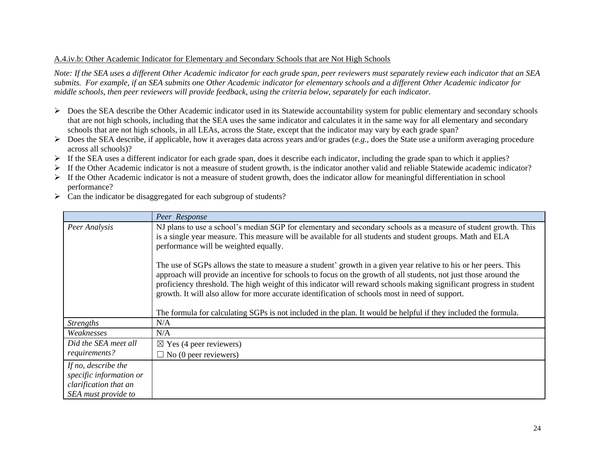## A.4.iv.b: Other Academic Indicator for Elementary and Secondary Schools that are Not High Schools

*Note: If the SEA uses a different Other Academic indicator for each grade span, peer reviewers must separately review each indicator that an SEA submits. For example, if an SEA submits one Other Academic indicator for elementary schools and a different Other Academic indicator for middle schools, then peer reviewers will provide feedback, using the criteria below, separately for each indicator.* 

- $\triangleright$  Does the SEA describe the Other Academic indicator used in its Statewide accountability system for public elementary and secondary schools that are not high schools, including that the SEA uses the same indicator and calculates it in the same way for all elementary and secondary schools that are not high schools, in all LEAs, across the State, except that the indicator may vary by each grade span?
- Does the SEA describe, if applicable, how it averages data across years and/or grades (*e.g.*, does the State use a uniform averaging procedure across all schools)?
- $\triangleright$  If the SEA uses a different indicator for each grade span, does it describe each indicator, including the grade span to which it applies?
- $\triangleright$  If the Other Academic indicator is not a measure of student growth, is the indicator another valid and reliable Statewide academic indicator?
- $\triangleright$  If the Other Academic indicator is not a measure of student growth, does the indicator allow for meaningful differentiation in school performance?
- $\triangleright$  Can the indicator be disaggregated for each subgroup of students?

|                                                                                                | Peer Response                                                                                                                                                                                                                                                                                                                                                                                                                                                  |
|------------------------------------------------------------------------------------------------|----------------------------------------------------------------------------------------------------------------------------------------------------------------------------------------------------------------------------------------------------------------------------------------------------------------------------------------------------------------------------------------------------------------------------------------------------------------|
| Peer Analysis                                                                                  | NJ plans to use a school's median SGP for elementary and secondary schools as a measure of student growth. This<br>is a single year measure. This measure will be available for all students and student groups. Math and ELA<br>performance will be weighted equally.                                                                                                                                                                                         |
|                                                                                                | The use of SGPs allows the state to measure a student' growth in a given year relative to his or her peers. This<br>approach will provide an incentive for schools to focus on the growth of all students, not just those around the<br>proficiency threshold. The high weight of this indicator will reward schools making significant progress in student<br>growth. It will also allow for more accurate identification of schools most in need of support. |
|                                                                                                | The formula for calculating SGPs is not included in the plan. It would be helpful if they included the formula.                                                                                                                                                                                                                                                                                                                                                |
| <b>Strengths</b>                                                                               | N/A                                                                                                                                                                                                                                                                                                                                                                                                                                                            |
| Weaknesses                                                                                     | N/A                                                                                                                                                                                                                                                                                                                                                                                                                                                            |
| Did the SEA meet all                                                                           | $\boxtimes$ Yes (4 peer reviewers)                                                                                                                                                                                                                                                                                                                                                                                                                             |
| requirements?                                                                                  | $\Box$ No (0 peer reviewers)                                                                                                                                                                                                                                                                                                                                                                                                                                   |
| If no, describe the<br>specific information or<br>clarification that an<br>SEA must provide to |                                                                                                                                                                                                                                                                                                                                                                                                                                                                |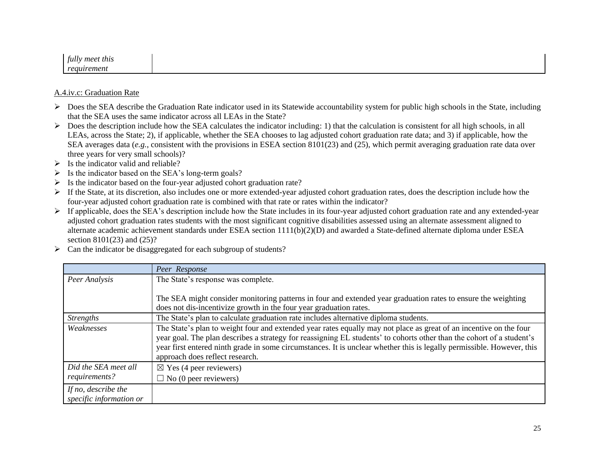| $\mathbf{z}$<br>meet this<br>tully |  |
|------------------------------------|--|
| reautrement                        |  |

#### A.4.iv.c: Graduation Rate

- $\triangleright$  Does the SEA describe the Graduation Rate indicator used in its Statewide accountability system for public high schools in the State, including that the SEA uses the same indicator across all LEAs in the State?
- $\triangleright$  Does the description include how the SEA calculates the indicator including: 1) that the calculation is consistent for all high schools, in all LEAs, across the State; 2), if applicable, whether the SEA chooses to lag adjusted cohort graduation rate data; and 3) if applicable, how the SEA averages data (*e.g.*, consistent with the provisions in ESEA section 8101(23) and (25), which permit averaging graduation rate data over three years for very small schools)?
- $\triangleright$  Is the indicator valid and reliable?
- $\triangleright$  Is the indicator based on the SEA's long-term goals?
- $\triangleright$  Is the indicator based on the four-year adjusted cohort graduation rate?
- $\triangleright$  If the State, at its discretion, also includes one or more extended-year adjusted cohort graduation rates, does the description include how the four-year adjusted cohort graduation rate is combined with that rate or rates within the indicator?
- > If applicable, does the SEA's description include how the State includes in its four-year adjusted cohort graduation rate and any extended-year adjusted cohort graduation rates students with the most significant cognitive disabilities assessed using an alternate assessment aligned to alternate academic achievement standards under ESEA section 1111(b)(2)(D) and awarded a State-defined alternate diploma under ESEA section 8101(23) and (25)?
- $\triangleright$  Can the indicator be disaggregated for each subgroup of students?

|                         | Peer Response                                                                                                          |
|-------------------------|------------------------------------------------------------------------------------------------------------------------|
| Peer Analysis           | The State's response was complete.                                                                                     |
|                         |                                                                                                                        |
|                         | The SEA might consider monitoring patterns in four and extended year graduation rates to ensure the weighting          |
|                         | does not dis-incentivize growth in the four year graduation rates.                                                     |
| <b>Strengths</b>        | The State's plan to calculate graduation rate includes alternative diploma students.                                   |
| Weaknesses              | The State's plan to weight four and extended year rates equally may not place as great of an incentive on the four     |
|                         | year goal. The plan describes a strategy for reassigning EL students' to cohorts other than the cohort of a student's  |
|                         | year first entered ninth grade in some circumstances. It is unclear whether this is legally permissible. However, this |
|                         | approach does reflect research.                                                                                        |
| Did the SEA meet all    | $\boxtimes$ Yes (4 peer reviewers)                                                                                     |
| requirements?           | $\Box$ No (0 peer reviewers)                                                                                           |
| If no, describe the     |                                                                                                                        |
| specific information or |                                                                                                                        |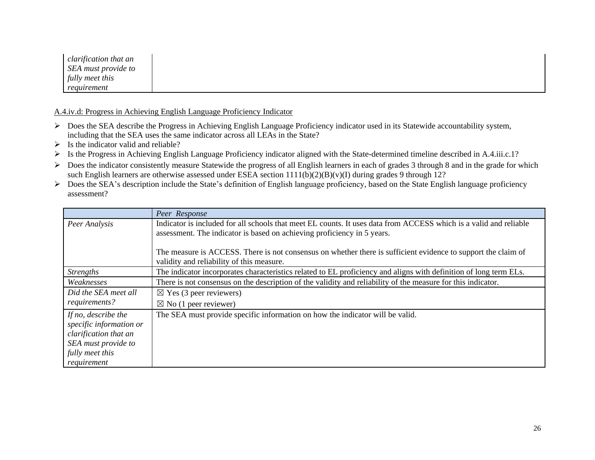| clarification that an |
|-----------------------|
| SEA must provide to   |
| fully meet this       |
| reguirement           |

A.4.iv.d: Progress in Achieving English Language Proficiency Indicator

- Does the SEA describe the Progress in Achieving English Language Proficiency indicator used in its Statewide accountability system, including that the SEA uses the same indicator across all LEAs in the State?
- $\triangleright$  Is the indicator valid and reliable?
- Is the Progress in Achieving English Language Proficiency indicator aligned with the State-determined timeline described in A.4.iii.c.1?
- $\triangleright$  Does the indicator consistently measure Statewide the progress of all English learners in each of grades 3 through 8 and in the grade for which such English learners are otherwise assessed under ESEA section 1111(b)(2)(B)(v)(I) during grades 9 through 12?
- Does the SEA's description include the State's definition of English language proficiency, based on the State English language proficiency assessment?

|                                                                                                                                  | Peer Response                                                                                                                                                                                |
|----------------------------------------------------------------------------------------------------------------------------------|----------------------------------------------------------------------------------------------------------------------------------------------------------------------------------------------|
| Peer Analysis                                                                                                                    | Indicator is included for all schools that meet EL counts. It uses data from ACCESS which is a valid and reliable<br>assessment. The indicator is based on achieving proficiency in 5 years. |
|                                                                                                                                  | The measure is ACCESS. There is not consensus on whether there is sufficient evidence to support the claim of<br>validity and reliability of this measure.                                   |
| <b>Strengths</b>                                                                                                                 | The indicator incorporates characteristics related to EL proficiency and aligns with definition of long term ELs.                                                                            |
| Weaknesses                                                                                                                       | There is not consensus on the description of the validity and reliability of the measure for this indicator.                                                                                 |
| Did the SEA meet all                                                                                                             | $\boxtimes$ Yes (3 peer reviewers)                                                                                                                                                           |
| requirements?                                                                                                                    | $\boxtimes$ No (1 peer reviewer)                                                                                                                                                             |
| If no, describe the<br>specific information or<br>clarification that an<br>SEA must provide to<br>fully meet this<br>requirement | The SEA must provide specific information on how the indicator will be valid.                                                                                                                |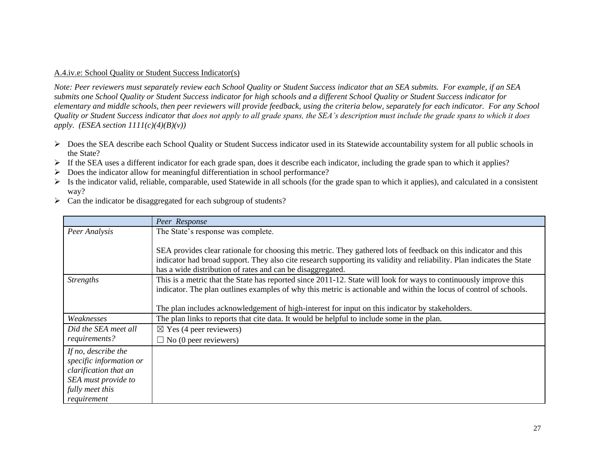#### A.4.iv.e: School Quality or Student Success Indicator(s)

*Note: Peer reviewers must separately review each School Quality or Student Success indicator that an SEA submits. For example, if an SEA submits one School Quality or Student Success indicator for high schools and a different School Quality or Student Success indicator for elementary and middle schools, then peer reviewers will provide feedback, using the criteria below, separately for each indicator. For any School Quality or Student Success indicator that does not apply to all grade spans, the SEA's description must include the grade spans to which it does apply.* (*ESEA section*  $1111(c)(4)(B)(v)$ )

- > Does the SEA describe each School Quality or Student Success indicator used in its Statewide accountability system for all public schools in the State?
- If the SEA uses a different indicator for each grade span, does it describe each indicator, including the grade span to which it applies?
- $\triangleright$  Does the indicator allow for meaningful differentiation in school performance?
- $\triangleright$  Is the indicator valid, reliable, comparable, used Statewide in all schools (for the grade span to which it applies), and calculated in a consistent way?
- $\triangleright$  Can the indicator be disaggregated for each subgroup of students?

|                         | Peer Response                                                                                                          |
|-------------------------|------------------------------------------------------------------------------------------------------------------------|
| Peer Analysis           | The State's response was complete.                                                                                     |
|                         |                                                                                                                        |
|                         | SEA provides clear rationale for choosing this metric. They gathered lots of feedback on this indicator and this       |
|                         | indicator had broad support. They also cite research supporting its validity and reliability. Plan indicates the State |
|                         | has a wide distribution of rates and can be disaggregated.                                                             |
| <b>Strengths</b>        | This is a metric that the State has reported since 2011-12. State will look for ways to continuously improve this      |
|                         | indicator. The plan outlines examples of why this metric is actionable and within the locus of control of schools.     |
|                         |                                                                                                                        |
|                         | The plan includes acknowledgement of high-interest for input on this indicator by stakeholders.                        |
| Weaknesses              | The plan links to reports that cite data. It would be helpful to include some in the plan.                             |
| Did the SEA meet all    | $\boxtimes$ Yes (4 peer reviewers)                                                                                     |
| requirements?           | $\Box$ No (0 peer reviewers)                                                                                           |
| If no, describe the     |                                                                                                                        |
| specific information or |                                                                                                                        |
| clarification that an   |                                                                                                                        |
| SEA must provide to     |                                                                                                                        |
| fully meet this         |                                                                                                                        |
| requirement             |                                                                                                                        |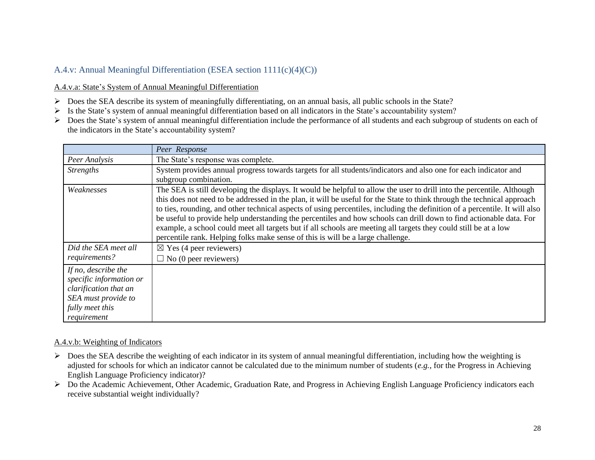## A.4.v: Annual Meaningful Differentiation (ESEA section 1111(c)(4)(C))

## A.4.v.a: State's System of Annual Meaningful Differentiation

- Does the SEA describe its system of meaningfully differentiating, on an annual basis, all public schools in the State?
- Is the State's system of annual meaningful differentiation based on all indicators in the State's accountability system?
- $\triangleright$  Does the State's system of annual meaningful differentiation include the performance of all students and each subgroup of students on each of the indicators in the State's accountability system?

|                                                                                                                                  | Peer Response                                                                                                                                                                                                                                                                                                                                                                                                                                                                                                                                                                                                                                                                                                  |
|----------------------------------------------------------------------------------------------------------------------------------|----------------------------------------------------------------------------------------------------------------------------------------------------------------------------------------------------------------------------------------------------------------------------------------------------------------------------------------------------------------------------------------------------------------------------------------------------------------------------------------------------------------------------------------------------------------------------------------------------------------------------------------------------------------------------------------------------------------|
| Peer Analysis                                                                                                                    | The State's response was complete.                                                                                                                                                                                                                                                                                                                                                                                                                                                                                                                                                                                                                                                                             |
| <i>Strengths</i>                                                                                                                 | System provides annual progress towards targets for all students/indicators and also one for each indicator and<br>subgroup combination.                                                                                                                                                                                                                                                                                                                                                                                                                                                                                                                                                                       |
| Weaknesses                                                                                                                       | The SEA is still developing the displays. It would be helpful to allow the user to drill into the percentile. Although<br>this does not need to be addressed in the plan, it will be useful for the State to think through the technical approach<br>to ties, rounding, and other technical aspects of using percentiles, including the definition of a percentile. It will also<br>be useful to provide help understanding the percentiles and how schools can drill down to find actionable data. For<br>example, a school could meet all targets but if all schools are meeting all targets they could still be at a low<br>percentile rank. Helping folks make sense of this is will be a large challenge. |
| Did the SEA meet all<br>requirements?                                                                                            | $\boxtimes$ Yes (4 peer reviewers)<br>$\Box$ No (0 peer reviewers)                                                                                                                                                                                                                                                                                                                                                                                                                                                                                                                                                                                                                                             |
| If no, describe the<br>specific information or<br>clarification that an<br>SEA must provide to<br>fully meet this<br>requirement |                                                                                                                                                                                                                                                                                                                                                                                                                                                                                                                                                                                                                                                                                                                |

#### A.4.v.b: Weighting of Indicators

- $\triangleright$  Does the SEA describe the weighting of each indicator in its system of annual meaningful differentiation, including how the weighting is adjusted for schools for which an indicator cannot be calculated due to the minimum number of students (*e.g.*, for the Progress in Achieving English Language Proficiency indicator)?
- $\triangleright$  Do the Academic Achievement, Other Academic, Graduation Rate, and Progress in Achieving English Language Proficiency indicators each receive substantial weight individually?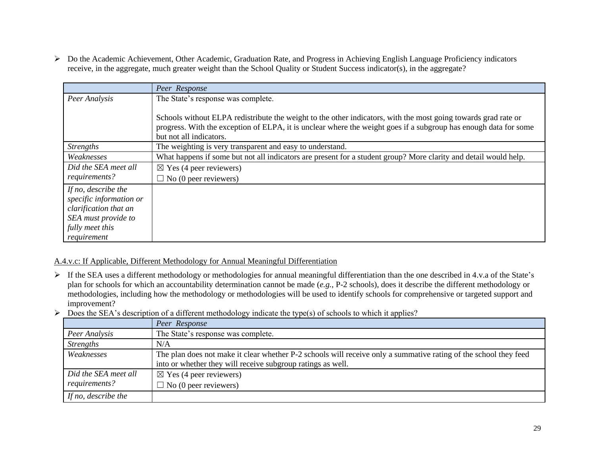Do the Academic Achievement, Other Academic, Graduation Rate, and Progress in Achieving English Language Proficiency indicators receive, in the aggregate, much greater weight than the School Quality or Student Success indicator(s), in the aggregate?

|                                                                                                                                  | Peer Response                                                                                                                                                                                                                                                 |
|----------------------------------------------------------------------------------------------------------------------------------|---------------------------------------------------------------------------------------------------------------------------------------------------------------------------------------------------------------------------------------------------------------|
| Peer Analysis                                                                                                                    | The State's response was complete.                                                                                                                                                                                                                            |
|                                                                                                                                  | Schools without ELPA redistribute the weight to the other indicators, with the most going towards grad rate or<br>progress. With the exception of ELPA, it is unclear where the weight goes if a subgroup has enough data for some<br>but not all indicators. |
| <b>Strengths</b>                                                                                                                 | The weighting is very transparent and easy to understand.                                                                                                                                                                                                     |
| Weaknesses                                                                                                                       | What happens if some but not all indicators are present for a student group? More clarity and detail would help.                                                                                                                                              |
| Did the SEA meet all                                                                                                             | $\boxtimes$ Yes (4 peer reviewers)                                                                                                                                                                                                                            |
| requirements?                                                                                                                    | $\Box$ No (0 peer reviewers)                                                                                                                                                                                                                                  |
| If no, describe the<br>specific information or<br>clarification that an<br>SEA must provide to<br>fully meet this<br>requirement |                                                                                                                                                                                                                                                               |

## A.4.v.c: If Applicable, Different Methodology for Annual Meaningful Differentiation

- If the SEA uses a different methodology or methodologies for annual meaningful differentiation than the one described in 4.v.a of the State's plan for schools for which an accountability determination cannot be made (*e.g.*, P-2 schools), does it describe the different methodology or methodologies, including how the methodology or methodologies will be used to identify schools for comprehensive or targeted support and improvement?
- $\triangleright$  Does the SEA's description of a different methodology indicate the type(s) of schools to which it applies?

|                      | Peer Response                                                                                                    |
|----------------------|------------------------------------------------------------------------------------------------------------------|
| Peer Analysis        | The State's response was complete.                                                                               |
| <b>Strengths</b>     | N/A                                                                                                              |
| Weaknesses           | The plan does not make it clear whether P-2 schools will receive only a summative rating of the school they feed |
|                      | into or whether they will receive subgroup ratings as well.                                                      |
| Did the SEA meet all | $\boxtimes$ Yes (4 peer reviewers)                                                                               |
| requirements?        | $\Box$ No (0 peer reviewers)                                                                                     |
| If no, describe the  |                                                                                                                  |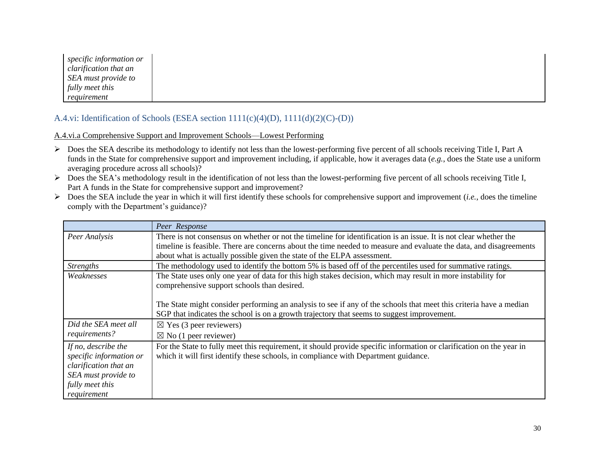|                 | specific information or |
|-----------------|-------------------------|
|                 | clarification that an   |
|                 | SEA must provide to     |
| fully meet this |                         |
| requirement     |                         |

## A.4.vi: Identification of Schools (ESEA section 1111(c)(4)(D), 1111(d)(2)(C)-(D))

A.4.vi.a Comprehensive Support and Improvement Schools—Lowest Performing

- Does the SEA describe its methodology to identify not less than the lowest-performing five percent of all schools receiving Title I, Part A funds in the State for comprehensive support and improvement including, if applicable, how it averages data (*e.g.*, does the State use a uniform averaging procedure across all schools)?
- Does the SEA's methodology result in the identification of not less than the lowest-performing five percent of all schools receiving Title I, Part A funds in the State for comprehensive support and improvement?
- $\triangleright$  Does the SEA include the year in which it will first identify these schools for comprehensive support and improvement (*i.e.*, does the timeline comply with the Department's guidance)?

|                         | Peer Response                                                                                                        |
|-------------------------|----------------------------------------------------------------------------------------------------------------------|
| Peer Analysis           | There is not consensus on whether or not the timeline for identification is an issue. It is not clear whether the    |
|                         | timeline is feasible. There are concerns about the time needed to measure and evaluate the data, and disagreements   |
|                         | about what is actually possible given the state of the ELPA assessment.                                              |
| <i>Strengths</i>        | The methodology used to identify the bottom 5% is based off of the percentiles used for summative ratings.           |
| Weaknesses              | The State uses only one year of data for this high stakes decision, which may result in more instability for         |
|                         | comprehensive support schools than desired.                                                                          |
|                         |                                                                                                                      |
|                         | The State might consider performing an analysis to see if any of the schools that meet this criteria have a median   |
|                         | SGP that indicates the school is on a growth trajectory that seems to suggest improvement.                           |
| Did the SEA meet all    | $\boxtimes$ Yes (3 peer reviewers)                                                                                   |
| requirements?           | $\boxtimes$ No (1 peer reviewer)                                                                                     |
| If no, describe the     | For the State to fully meet this requirement, it should provide specific information or clarification on the year in |
| specific information or | which it will first identify these schools, in compliance with Department guidance.                                  |
| clarification that an   |                                                                                                                      |
| SEA must provide to     |                                                                                                                      |
| fully meet this         |                                                                                                                      |
| requirement             |                                                                                                                      |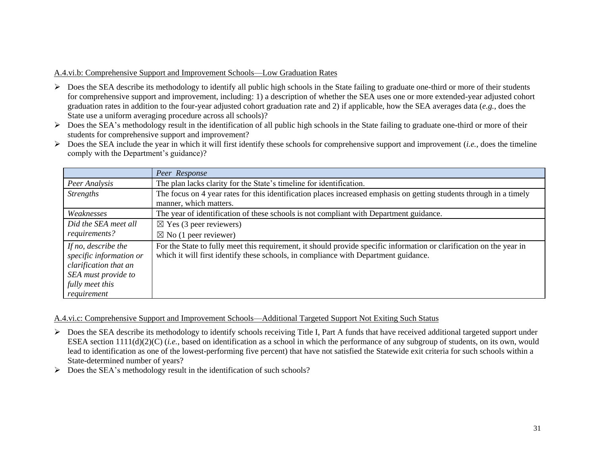#### A.4.vi.b: Comprehensive Support and Improvement Schools—Low Graduation Rates

- $\triangleright$  Does the SEA describe its methodology to identify all public high schools in the State failing to graduate one-third or more of their students for comprehensive support and improvement, including: 1) a description of whether the SEA uses one or more extended-year adjusted cohort graduation rates in addition to the four-year adjusted cohort graduation rate and 2) if applicable, how the SEA averages data (*e.g.*, does the State use a uniform averaging procedure across all schools)?
- Does the SEA's methodology result in the identification of all public high schools in the State failing to graduate one-third or more of their students for comprehensive support and improvement?
- Does the SEA include the year in which it will first identify these schools for comprehensive support and improvement (*i.e.*, does the timeline comply with the Department's guidance)?

|                                                                                                                                  | Peer Response                                                                                                                                                                                               |
|----------------------------------------------------------------------------------------------------------------------------------|-------------------------------------------------------------------------------------------------------------------------------------------------------------------------------------------------------------|
| Peer Analysis                                                                                                                    | The plan lacks clarity for the State's timeline for identification.                                                                                                                                         |
| <i>Strengths</i>                                                                                                                 | The focus on 4 year rates for this identification places increased emphasis on getting students through in a timely<br>manner, which matters.                                                               |
| Weaknesses                                                                                                                       | The year of identification of these schools is not compliant with Department guidance.                                                                                                                      |
| Did the SEA meet all<br>requirements?                                                                                            | $\boxtimes$ Yes (3 peer reviewers)<br>$\boxtimes$ No (1 peer reviewer)                                                                                                                                      |
| If no, describe the<br>specific information or<br>clarification that an<br>SEA must provide to<br>fully meet this<br>requirement | For the State to fully meet this requirement, it should provide specific information or clarification on the year in<br>which it will first identify these schools, in compliance with Department guidance. |

A.4.vi.c: Comprehensive Support and Improvement Schools—Additional Targeted Support Not Exiting Such Status

- ▶ Does the SEA describe its methodology to identify schools receiving Title I, Part A funds that have received additional targeted support under ESEA section 1111(d)(2)(C) (*i.e.*, based on identification as a school in which the performance of any subgroup of students, on its own, would lead to identification as one of the lowest-performing five percent) that have not satisfied the Statewide exit criteria for such schools within a State-determined number of years?
- $\triangleright$  Does the SEA's methodology result in the identification of such schools?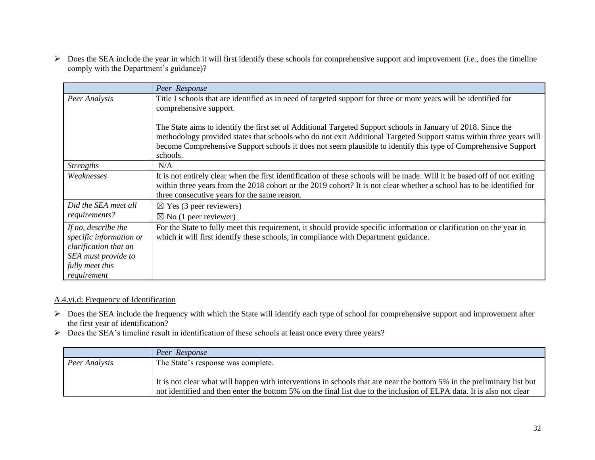Does the SEA include the year in which it will first identify these schools for comprehensive support and improvement (*i.e.*, does the timeline comply with the Department's guidance)?

|                                                                                                                                  | Peer Response                                                                                                                                                                                                                                                                                                                                                      |
|----------------------------------------------------------------------------------------------------------------------------------|--------------------------------------------------------------------------------------------------------------------------------------------------------------------------------------------------------------------------------------------------------------------------------------------------------------------------------------------------------------------|
| Peer Analysis                                                                                                                    | Title I schools that are identified as in need of targeted support for three or more years will be identified for<br>comprehensive support.                                                                                                                                                                                                                        |
|                                                                                                                                  | The State aims to identify the first set of Additional Targeted Support schools in January of 2018. Since the<br>methodology provided states that schools who do not exit Additional Targeted Support status within three years will<br>become Comprehensive Support schools it does not seem plausible to identify this type of Comprehensive Support<br>schools. |
| <b>Strengths</b>                                                                                                                 | N/A                                                                                                                                                                                                                                                                                                                                                                |
| Weaknesses                                                                                                                       | It is not entirely clear when the first identification of these schools will be made. Will it be based off of not exiting<br>within three years from the 2018 cohort or the 2019 cohort? It is not clear whether a school has to be identified for<br>three consecutive years for the same reason.                                                                 |
| Did the SEA meet all<br>requirements?                                                                                            | $\boxtimes$ Yes (3 peer reviewers)<br>$\boxtimes$ No (1 peer reviewer)                                                                                                                                                                                                                                                                                             |
| If no, describe the<br>specific information or<br>clarification that an<br>SEA must provide to<br>fully meet this<br>requirement | For the State to fully meet this requirement, it should provide specific information or clarification on the year in<br>which it will first identify these schools, in compliance with Department guidance.                                                                                                                                                        |

## A.4.vi.d: Frequency of Identification

- ▶ Does the SEA include the frequency with which the State will identify each type of school for comprehensive support and improvement after the first year of identification?
- Does the SEA's timeline result in identification of these schools at least once every three years?

|               | Peer Response                                                                                                                                                                                                                                   |
|---------------|-------------------------------------------------------------------------------------------------------------------------------------------------------------------------------------------------------------------------------------------------|
| Peer Analysis | The State's response was complete.                                                                                                                                                                                                              |
|               | It is not clear what will happen with interventions in schools that are near the bottom 5% in the preliminary list but<br>not identified and then enter the bottom 5% on the final list due to the inclusion of ELPA data. It is also not clear |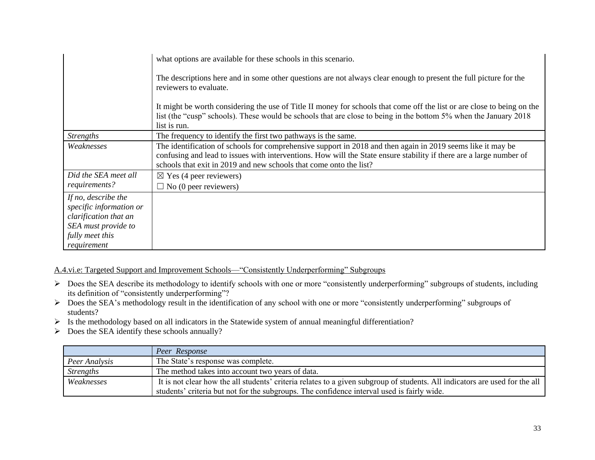|                                                                                                                                  | what options are available for these schools in this scenario.                                                                                                                                                                                                                                           |
|----------------------------------------------------------------------------------------------------------------------------------|----------------------------------------------------------------------------------------------------------------------------------------------------------------------------------------------------------------------------------------------------------------------------------------------------------|
|                                                                                                                                  | The descriptions here and in some other questions are not always clear enough to present the full picture for the<br>reviewers to evaluate.                                                                                                                                                              |
|                                                                                                                                  | It might be worth considering the use of Title II money for schools that come off the list or are close to being on the<br>list (the "cusp" schools). These would be schools that are close to being in the bottom 5% when the January 2018<br>list is run.                                              |
| <b>Strengths</b>                                                                                                                 | The frequency to identify the first two pathways is the same.                                                                                                                                                                                                                                            |
| Weaknesses                                                                                                                       | The identification of schools for comprehensive support in 2018 and then again in 2019 seems like it may be<br>confusing and lead to issues with interventions. How will the State ensure stability if there are a large number of<br>schools that exit in 2019 and new schools that come onto the list? |
| Did the SEA meet all<br>requirements?                                                                                            | $\boxtimes$ Yes (4 peer reviewers)<br>$\Box$ No (0 peer reviewers)                                                                                                                                                                                                                                       |
| If no, describe the<br>specific information or<br>clarification that an<br>SEA must provide to<br>fully meet this<br>requirement |                                                                                                                                                                                                                                                                                                          |

A.4.vi.e: Targeted Support and Improvement Schools—"Consistently Underperforming" Subgroups

- > Does the SEA describe its methodology to identify schools with one or more "consistently underperforming" subgroups of students, including its definition of "consistently underperforming"?
- Does the SEA's methodology result in the identification of any school with one or more "consistently underperforming" subgroups of students?
- $\triangleright$  Is the methodology based on all indicators in the Statewide system of annual meaningful differentiation?
- $\triangleright$  Does the SEA identify these schools annually?

|                  | Peer Response                                                                                                               |
|------------------|-----------------------------------------------------------------------------------------------------------------------------|
| Peer Analysis    | The State's response was complete.                                                                                          |
| <b>Strengths</b> | The method takes into account two years of data.                                                                            |
| Weaknesses       | It is not clear how the all students' criteria relates to a given subgroup of students. All indicators are used for the all |
|                  | students' criteria but not for the subgroups. The confidence interval used is fairly wide.                                  |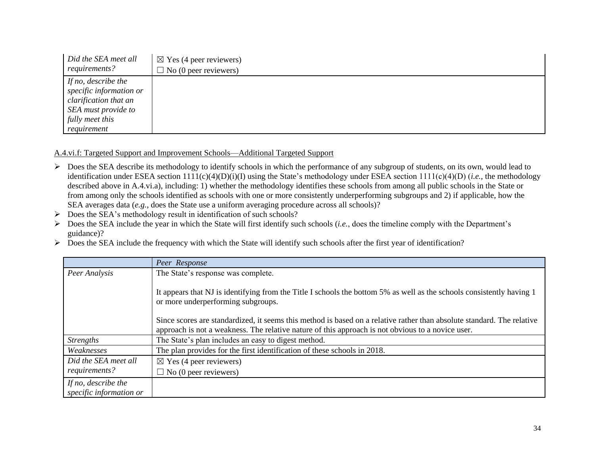| Did the SEA meet all    | $\boxtimes$ Yes (4 peer reviewers) |
|-------------------------|------------------------------------|
| requirements?           | $\Box$ No (0 peer reviewers)       |
| If no, describe the     |                                    |
| specific information or |                                    |
| clarification that an   |                                    |
| SEA must provide to     |                                    |
| fully meet this         |                                    |
| requirement             |                                    |

### A.4.vi.f: Targeted Support and Improvement Schools—Additional Targeted Support

- $\triangleright$  Does the SEA describe its methodology to identify schools in which the performance of any subgroup of students, on its own, would lead to identification under ESEA section 1111(c)(4)(D)(i)(I) using the State's methodology under ESEA section 1111(c)(4)(D) (*i.e.*, the methodology described above in A.4.vi.a), including: 1) whether the methodology identifies these schools from among all public schools in the State or from among only the schools identified as schools with one or more consistently underperforming subgroups and 2) if applicable, how the SEA averages data (*e.g.*, does the State use a uniform averaging procedure across all schools)?
- $\triangleright$  Does the SEA's methodology result in identification of such schools?
- Does the SEA include the year in which the State will first identify such schools (*i.e.*, does the timeline comply with the Department's guidance)?
- $\triangleright$  Does the SEA include the frequency with which the State will identify such schools after the first year of identification?

|                                                | Peer Response                                                                                                                                               |
|------------------------------------------------|-------------------------------------------------------------------------------------------------------------------------------------------------------------|
| Peer Analysis                                  | The State's response was complete.                                                                                                                          |
|                                                | It appears that NJ is identifying from the Title I schools the bottom 5% as well as the schools consistently having 1<br>or more underperforming subgroups. |
|                                                | Since scores are standardized, it seems this method is based on a relative rather than absolute standard. The relative                                      |
|                                                | approach is not a weakness. The relative nature of this approach is not obvious to a novice user.                                                           |
| <b>Strengths</b>                               | The State's plan includes an easy to digest method.                                                                                                         |
| Weaknesses                                     | The plan provides for the first identification of these schools in 2018.                                                                                    |
| Did the SEA meet all                           | $\boxtimes$ Yes (4 peer reviewers)                                                                                                                          |
| requirements?                                  | $\Box$ No (0 peer reviewers)                                                                                                                                |
| If no, describe the<br>specific information or |                                                                                                                                                             |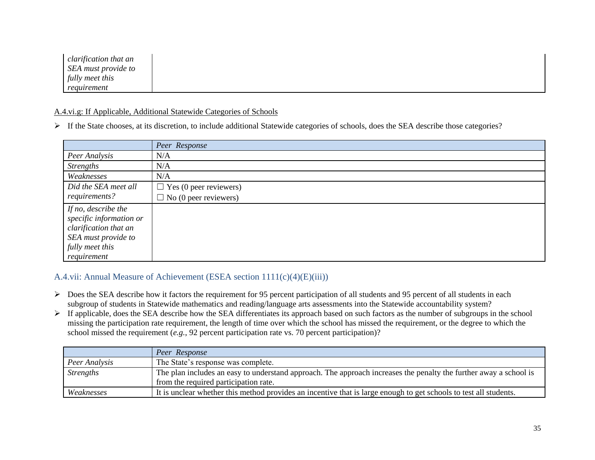| clarification that an |  |  |
|-----------------------|--|--|
| SEA must provide to   |  |  |
| fully meet this       |  |  |
| requirement           |  |  |

#### A.4.vi.g: If Applicable, Additional Statewide Categories of Schools

If the State chooses, at its discretion, to include additional Statewide categories of schools, does the SEA describe those categories?

|                         | Peer Response                 |
|-------------------------|-------------------------------|
| Peer Analysis           | N/A                           |
| <b>Strengths</b>        | N/A                           |
| Weaknesses              | N/A                           |
| Did the SEA meet all    | $\Box$ Yes (0 peer reviewers) |
| requirements?           | $\Box$ No (0 peer reviewers)  |
| If no, describe the     |                               |
| specific information or |                               |
| clarification that an   |                               |
| SEA must provide to     |                               |
| fully meet this         |                               |
| requirement             |                               |

## A.4.vii: Annual Measure of Achievement (ESEA section 1111(c)(4)(E)(iii))

- $\triangleright$  Does the SEA describe how it factors the requirement for 95 percent participation of all students and 95 percent of all students in each subgroup of students in Statewide mathematics and reading/language arts assessments into the Statewide accountability system?
- $\triangleright$  If applicable, does the SEA describe how the SEA differentiates its approach based on such factors as the number of subgroups in the school missing the participation rate requirement, the length of time over which the school has missed the requirement, or the degree to which the school missed the requirement (*e.g.*, 92 percent participation rate vs. 70 percent participation)?

|                  | Peer Response                                                                                                     |
|------------------|-------------------------------------------------------------------------------------------------------------------|
| Peer Analysis    | The State's response was complete.                                                                                |
| <b>Strengths</b> | The plan includes an easy to understand approach. The approach increases the penalty the further away a school is |
|                  | from the required participation rate.                                                                             |
| Weaknesses       | It is unclear whether this method provides an incentive that is large enough to get schools to test all students. |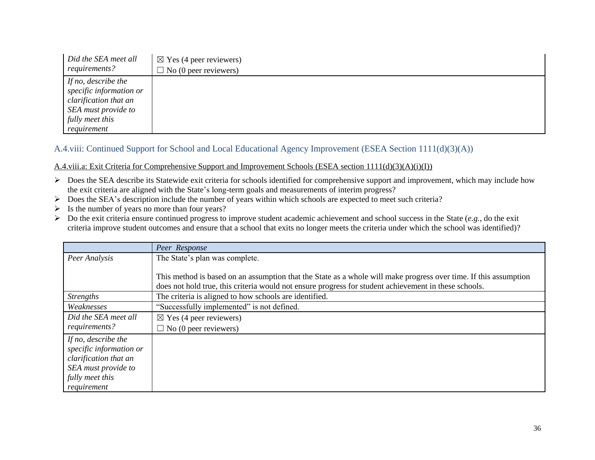| Did the SEA meet all    | $\boxtimes$ Yes (4 peer reviewers) |
|-------------------------|------------------------------------|
| requirements?           | $\Box$ No (0 peer reviewers)       |
| If no, describe the     |                                    |
| specific information or |                                    |
| clarification that an   |                                    |
| SEA must provide to     |                                    |
| fully meet this         |                                    |
| requirement             |                                    |

## A.4.viii: Continued Support for School and Local Educational Agency Improvement (ESEA Section 1111(d)(3)(A))

#### A.4.viii.a: Exit Criteria for Comprehensive Support and Improvement Schools (ESEA section 1111(d)(3)(A)(i)(I))

- ▶ Does the SEA describe its Statewide exit criteria for schools identified for comprehensive support and improvement, which may include how the exit criteria are aligned with the State's long-term goals and measurements of interim progress?
- Does the SEA's description include the number of years within which schools are expected to meet such criteria?
- $\triangleright$  Is the number of years no more than four years?
- Do the exit criteria ensure continued progress to improve student academic achievement and school success in the State (*e.g.*, do the exit criteria improve student outcomes and ensure that a school that exits no longer meets the criteria under which the school was identified)?

|                         | Peer Response                                                                                                    |
|-------------------------|------------------------------------------------------------------------------------------------------------------|
| Peer Analysis           | The State's plan was complete.                                                                                   |
|                         |                                                                                                                  |
|                         | This method is based on an assumption that the State as a whole will make progress over time. If this assumption |
|                         | does not hold true, this criteria would not ensure progress for student achievement in these schools.            |
| <i>Strengths</i>        | The criteria is aligned to how schools are identified.                                                           |
| Weaknesses              | "Successfully implemented" is not defined.                                                                       |
| Did the SEA meet all    | $\boxtimes$ Yes (4 peer reviewers)                                                                               |
| requirements?           | $\Box$ No (0 peer reviewers)                                                                                     |
| If no, describe the     |                                                                                                                  |
| specific information or |                                                                                                                  |
| clarification that an   |                                                                                                                  |
| SEA must provide to     |                                                                                                                  |
| fully meet this         |                                                                                                                  |
| requirement             |                                                                                                                  |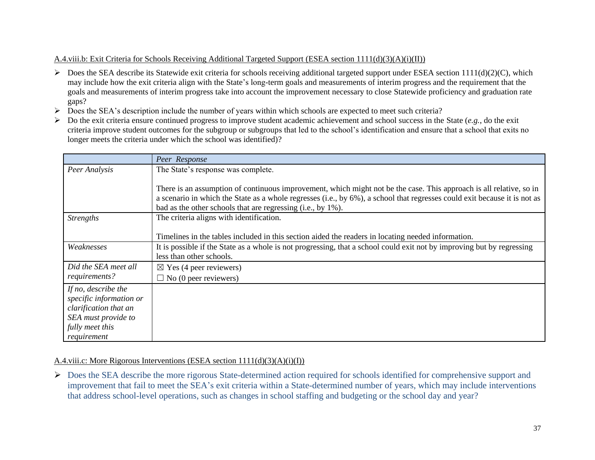## A.4.viii.b: Exit Criteria for Schools Receiving Additional Targeted Support (ESEA section 1111(d)(3)(A)(i)(II))

- $\triangleright$  Does the SEA describe its Statewide exit criteria for schools receiving additional targeted support under ESEA section 1111(d)(2)(C), which may include how the exit criteria align with the State's long-term goals and measurements of interim progress and the requirement that the goals and measurements of interim progress take into account the improvement necessary to close Statewide proficiency and graduation rate gaps?
- Does the SEA's description include the number of years within which schools are expected to meet such criteria?
- Do the exit criteria ensure continued progress to improve student academic achievement and school success in the State (*e.g.*, do the exit criteria improve student outcomes for the subgroup or subgroups that led to the school's identification and ensure that a school that exits no longer meets the criteria under which the school was identified)?

|                         | Peer Response                                                                                                             |
|-------------------------|---------------------------------------------------------------------------------------------------------------------------|
| Peer Analysis           | The State's response was complete.                                                                                        |
|                         |                                                                                                                           |
|                         | There is an assumption of continuous improvement, which might not be the case. This approach is all relative, so in       |
|                         | a scenario in which the State as a whole regresses (i.e., by 6%), a school that regresses could exit because it is not as |
|                         | bad as the other schools that are regressing (i.e., by 1%).                                                               |
| <b>Strengths</b>        | The criteria aligns with identification.                                                                                  |
|                         |                                                                                                                           |
|                         | Timelines in the tables included in this section aided the readers in locating needed information.                        |
| Weaknesses              | It is possible if the State as a whole is not progressing, that a school could exit not by improving but by regressing    |
|                         | less than other schools.                                                                                                  |
| Did the SEA meet all    | $\boxtimes$ Yes (4 peer reviewers)                                                                                        |
| requirements?           | $\Box$ No (0 peer reviewers)                                                                                              |
| If no, describe the     |                                                                                                                           |
| specific information or |                                                                                                                           |
| clarification that an   |                                                                                                                           |
| SEA must provide to     |                                                                                                                           |
| fully meet this         |                                                                                                                           |
| requirement             |                                                                                                                           |

## A.4.viii.c: More Rigorous Interventions (ESEA section 1111(d)(3)(A)(i)(I))

▶ Does the SEA describe the more rigorous State-determined action required for schools identified for comprehensive support and improvement that fail to meet the SEA's exit criteria within a State-determined number of years, which may include interventions that address school-level operations, such as changes in school staffing and budgeting or the school day and year?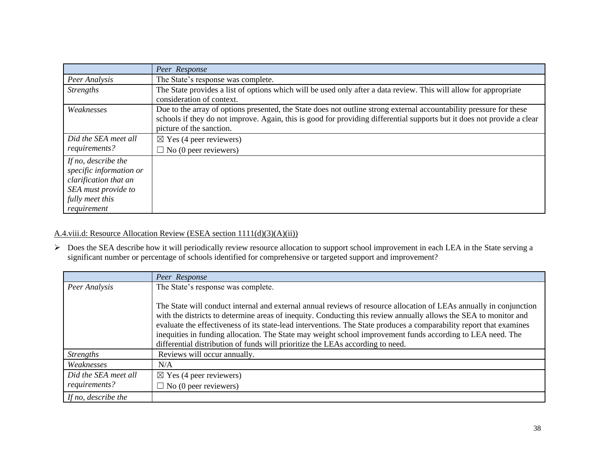|                         | Peer Response                                                                                                           |
|-------------------------|-------------------------------------------------------------------------------------------------------------------------|
| Peer Analysis           | The State's response was complete.                                                                                      |
| <i>Strengths</i>        | The State provides a list of options which will be used only after a data review. This will allow for appropriate       |
|                         | consideration of context.                                                                                               |
| Weaknesses              | Due to the array of options presented, the State does not outline strong external accountability pressure for these     |
|                         | schools if they do not improve. Again, this is good for providing differential supports but it does not provide a clear |
|                         | picture of the sanction.                                                                                                |
| Did the SEA meet all    | $\boxtimes$ Yes (4 peer reviewers)                                                                                      |
| requirements?           | $\Box$ No (0 peer reviewers)                                                                                            |
| If no, describe the     |                                                                                                                         |
| specific information or |                                                                                                                         |
| clarification that an   |                                                                                                                         |
| SEA must provide to     |                                                                                                                         |
| fully meet this         |                                                                                                                         |
| requirement             |                                                                                                                         |

A.4.viii.d: Resource Allocation Review (ESEA section 1111(d)(3)(A)(ii))

 Does the SEA describe how it will periodically review resource allocation to support school improvement in each LEA in the State serving a significant number or percentage of schools identified for comprehensive or targeted support and improvement?

|                      | Peer Response                                                                                                                                                                                                                                                                                                                                                                                                                                                                                                                                                 |
|----------------------|---------------------------------------------------------------------------------------------------------------------------------------------------------------------------------------------------------------------------------------------------------------------------------------------------------------------------------------------------------------------------------------------------------------------------------------------------------------------------------------------------------------------------------------------------------------|
| Peer Analysis        | The State's response was complete.                                                                                                                                                                                                                                                                                                                                                                                                                                                                                                                            |
|                      | The State will conduct internal and external annual reviews of resource allocation of LEAs annually in conjunction<br>with the districts to determine areas of inequity. Conducting this review annually allows the SEA to monitor and<br>evaluate the effectiveness of its state-lead interventions. The State produces a comparability report that examines<br>inequities in funding allocation. The State may weight school improvement funds according to LEA need. The<br>differential distribution of funds will prioritize the LEAs according to need. |
| <b>Strengths</b>     | Reviews will occur annually.                                                                                                                                                                                                                                                                                                                                                                                                                                                                                                                                  |
| Weaknesses           | N/A                                                                                                                                                                                                                                                                                                                                                                                                                                                                                                                                                           |
| Did the SEA meet all | $\boxtimes$ Yes (4 peer reviewers)                                                                                                                                                                                                                                                                                                                                                                                                                                                                                                                            |
| requirements?        | $\Box$ No (0 peer reviewers)                                                                                                                                                                                                                                                                                                                                                                                                                                                                                                                                  |
| If no, describe the  |                                                                                                                                                                                                                                                                                                                                                                                                                                                                                                                                                               |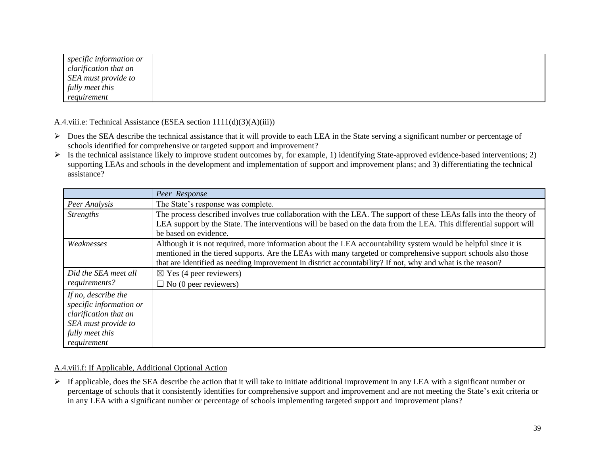| specific information or |
|-------------------------|
| clarification that an   |
| SEA must provide to     |
| fully meet this         |
| requirement             |

A.4.viii.e: Technical Assistance (ESEA section 1111(d)(3)(A)(iii))

- Does the SEA describe the technical assistance that it will provide to each LEA in the State serving a significant number or percentage of schools identified for comprehensive or targeted support and improvement?
- $\triangleright$  Is the technical assistance likely to improve student outcomes by, for example, 1) identifying State-approved evidence-based interventions; 2) supporting LEAs and schools in the development and implementation of support and improvement plans; and 3) differentiating the technical assistance?

|                                                                                                                                  | Peer Response                                                                                                                                                                                                                                                                                                                                 |
|----------------------------------------------------------------------------------------------------------------------------------|-----------------------------------------------------------------------------------------------------------------------------------------------------------------------------------------------------------------------------------------------------------------------------------------------------------------------------------------------|
| Peer Analysis                                                                                                                    | The State's response was complete.                                                                                                                                                                                                                                                                                                            |
| <i>Strengths</i>                                                                                                                 | The process described involves true collaboration with the LEA. The support of these LEAs falls into the theory of<br>LEA support by the State. The interventions will be based on the data from the LEA. This differential support will<br>be based on evidence.                                                                             |
| Weaknesses                                                                                                                       | Although it is not required, more information about the LEA accountability system would be helpful since it is<br>mentioned in the tiered supports. Are the LEAs with many targeted or comprehensive support schools also those<br>that are identified as needing improvement in district accountability? If not, why and what is the reason? |
| Did the SEA meet all<br>requirements?                                                                                            | $\boxtimes$ Yes (4 peer reviewers)<br>$\Box$ No (0 peer reviewers)                                                                                                                                                                                                                                                                            |
| If no, describe the<br>specific information or<br>clarification that an<br>SEA must provide to<br>fully meet this<br>requirement |                                                                                                                                                                                                                                                                                                                                               |

#### A.4.viii.f: If Applicable, Additional Optional Action

 $\triangleright$  If applicable, does the SEA describe the action that it will take to initiate additional improvement in any LEA with a significant number or percentage of schools that it consistently identifies for comprehensive support and improvement and are not meeting the State's exit criteria or in any LEA with a significant number or percentage of schools implementing targeted support and improvement plans?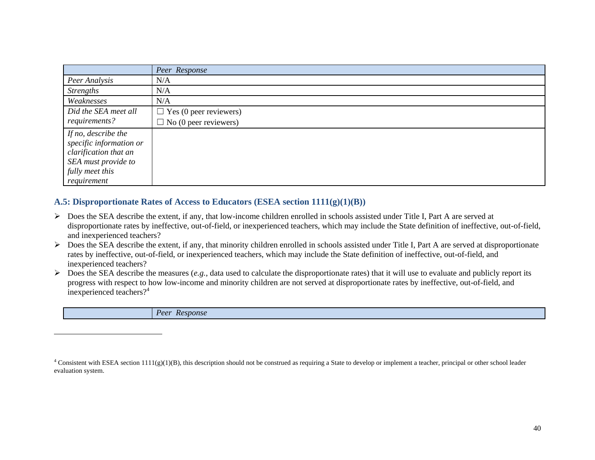|                                                  | Peer Response                 |
|--------------------------------------------------|-------------------------------|
| Peer Analysis                                    | N/A                           |
| <b>Strengths</b>                                 | N/A                           |
| Weaknesses                                       | N/A                           |
| Did the SEA meet all                             | $\Box$ Yes (0 peer reviewers) |
| requirements?                                    | $\Box$ No (0 peer reviewers)  |
| If no, describe the                              |                               |
| specific information or<br>clarification that an |                               |
| SEA must provide to                              |                               |
| fully meet this                                  |                               |
| requirement                                      |                               |

## **A.5: Disproportionate Rates of Access to Educators (ESEA section 1111(g)(1)(B))**

 $\overline{a}$ 

- Does the SEA describe the extent, if any, that low-income children enrolled in schools assisted under Title I, Part A are served at disproportionate rates by ineffective, out-of-field, or inexperienced teachers, which may include the State definition of ineffective, out-of-field, and inexperienced teachers?
- $\triangleright$  Does the SEA describe the extent, if any, that minority children enrolled in schools assisted under Title I, Part A are served at disproportionate rates by ineffective, out-of-field, or inexperienced teachers, which may include the State definition of ineffective, out-of-field, and inexperienced teachers?
- $\triangleright$  Does the SEA describe the measures (*e.g.*, data used to calculate the disproportionate rates) that it will use to evaluate and publicly report its progress with respect to how low-income and minority children are not served at disproportionate rates by ineffective, out-of-field, and inexperienced teachers?<sup>4</sup>

| $\nu_{ee}$<br><b>Response</b><br>$R$ or |
|-----------------------------------------|
|-----------------------------------------|

 $4$  Consistent with ESEA section 1111(g)(1)(B), this description should not be construed as requiring a State to develop or implement a teacher, principal or other school leader evaluation system.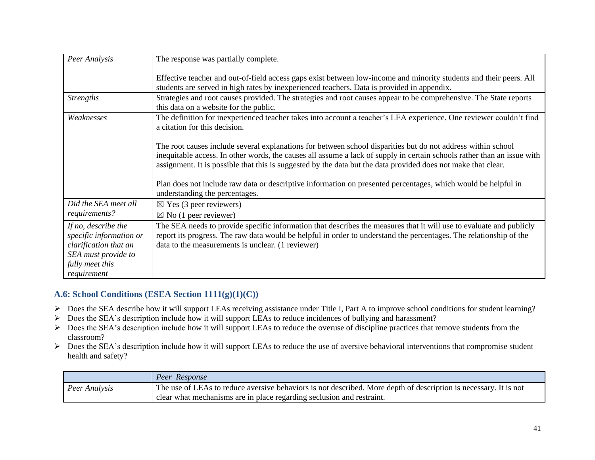| Peer Analysis                                                                                                                    | The response was partially complete.                                                                                                                                                                                                                                                                                                                     |
|----------------------------------------------------------------------------------------------------------------------------------|----------------------------------------------------------------------------------------------------------------------------------------------------------------------------------------------------------------------------------------------------------------------------------------------------------------------------------------------------------|
|                                                                                                                                  | Effective teacher and out-of-field access gaps exist between low-income and minority students and their peers. All<br>students are served in high rates by inexperienced teachers. Data is provided in appendix.                                                                                                                                         |
| <b>Strengths</b>                                                                                                                 | Strategies and root causes provided. The strategies and root causes appear to be comprehensive. The State reports<br>this data on a website for the public.                                                                                                                                                                                              |
| Weaknesses                                                                                                                       | The definition for inexperienced teacher takes into account a teacher's LEA experience. One reviewer couldn't find<br>a citation for this decision.                                                                                                                                                                                                      |
|                                                                                                                                  | The root causes include several explanations for between school disparities but do not address within school<br>inequitable access. In other words, the causes all assume a lack of supply in certain schools rather than an issue with<br>assignment. It is possible that this is suggested by the data but the data provided does not make that clear. |
|                                                                                                                                  | Plan does not include raw data or descriptive information on presented percentages, which would be helpful in<br>understanding the percentages.                                                                                                                                                                                                          |
| Did the SEA meet all<br>requirements?                                                                                            | $\boxtimes$ Yes (3 peer reviewers)                                                                                                                                                                                                                                                                                                                       |
|                                                                                                                                  | $\boxtimes$ No (1 peer reviewer)                                                                                                                                                                                                                                                                                                                         |
| If no, describe the<br>specific information or<br>clarification that an<br>SEA must provide to<br>fully meet this<br>requirement | The SEA needs to provide specific information that describes the measures that it will use to evaluate and publicly<br>report its progress. The raw data would be helpful in order to understand the percentages. The relationship of the<br>data to the measurements is unclear. (1 reviewer)                                                           |

## **A.6: School Conditions (ESEA Section 1111(g)(1)(C))**

- ▶ Does the SEA describe how it will support LEAs receiving assistance under Title I, Part A to improve school conditions for student learning?
- Does the SEA's description include how it will support LEAs to reduce incidences of bullying and harassment?
- $\triangleright$  Does the SEA's description include how it will support LEAs to reduce the overuse of discipline practices that remove students from the classroom?
- Does the SEA's description include how it will support LEAs to reduce the use of aversive behavioral interventions that compromise student health and safety?

|               | Peer Response                                                                                                    |
|---------------|------------------------------------------------------------------------------------------------------------------|
| Peer Analysis | The use of LEAs to reduce aversive behaviors is not described. More depth of description is necessary. It is not |
|               | clear what mechanisms are in place regarding seclusion and restraint.                                            |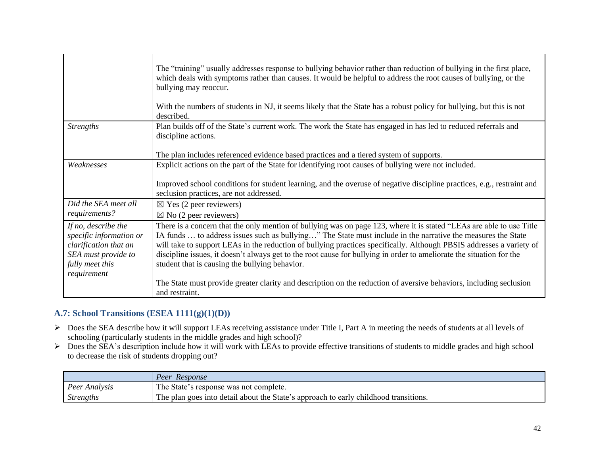|                                                                                                                                  | The "training" usually addresses response to bullying behavior rather than reduction of bullying in the first place,<br>which deals with symptoms rather than causes. It would be helpful to address the root causes of bullying, or the<br>bullying may reoccur.<br>With the numbers of students in NJ, it seems likely that the State has a robust policy for bullying, but this is not<br>described.                                                                                                                                |
|----------------------------------------------------------------------------------------------------------------------------------|----------------------------------------------------------------------------------------------------------------------------------------------------------------------------------------------------------------------------------------------------------------------------------------------------------------------------------------------------------------------------------------------------------------------------------------------------------------------------------------------------------------------------------------|
| <b>Strengths</b>                                                                                                                 | Plan builds off of the State's current work. The work the State has engaged in has led to reduced referrals and<br>discipline actions.<br>The plan includes referenced evidence based practices and a tiered system of supports.                                                                                                                                                                                                                                                                                                       |
| Weaknesses                                                                                                                       | Explicit actions on the part of the State for identifying root causes of bullying were not included.                                                                                                                                                                                                                                                                                                                                                                                                                                   |
|                                                                                                                                  | Improved school conditions for student learning, and the overuse of negative discipline practices, e.g., restraint and<br>seclusion practices, are not addressed.                                                                                                                                                                                                                                                                                                                                                                      |
| Did the SEA meet all                                                                                                             | $\boxtimes$ Yes (2 peer reviewers)                                                                                                                                                                                                                                                                                                                                                                                                                                                                                                     |
| requirements?                                                                                                                    | $\boxtimes$ No (2 peer reviewers)                                                                                                                                                                                                                                                                                                                                                                                                                                                                                                      |
| If no, describe the<br>specific information or<br>clarification that an<br>SEA must provide to<br>fully meet this<br>requirement | There is a concern that the only mention of bullying was on page 123, where it is stated "LEAs are able to use Title<br>IA funds  to address issues such as bullying" The State must include in the narrative the measures the State<br>will take to support LEAs in the reduction of bullying practices specifically. Although PBSIS addresses a variety of<br>discipline issues, it doesn't always get to the root cause for bullying in order to ameliorate the situation for the<br>student that is causing the bullying behavior. |
|                                                                                                                                  | The State must provide greater clarity and description on the reduction of aversive behaviors, including seclusion<br>and restraint.                                                                                                                                                                                                                                                                                                                                                                                                   |

## **A.7: School Transitions (ESEA 1111(g)(1)(D))**

- Does the SEA describe how it will support LEAs receiving assistance under Title I, Part A in meeting the needs of students at all levels of schooling (particularly students in the middle grades and high school)?
- $\triangleright$  Does the SEA's description include how it will work with LEAs to provide effective transitions of students to middle grades and high school to decrease the risk of students dropping out?

|                   | <i>Response</i><br>Peer                                                              |
|-------------------|--------------------------------------------------------------------------------------|
| Peer<br>Analysis: | The State's response was not complete.                                               |
| <i>Strengths</i>  | The plan goes into detail about the State's approach to early childhood transitions. |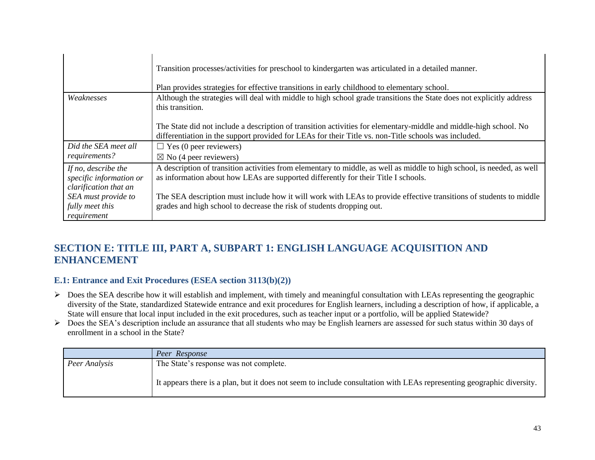|                                                                         | Transition processes/activities for preschool to kindergarten was articulated in a detailed manner.<br>Plan provides strategies for effective transitions in early childhood to elementary school.                        |
|-------------------------------------------------------------------------|---------------------------------------------------------------------------------------------------------------------------------------------------------------------------------------------------------------------------|
| Weaknesses                                                              | Although the strategies will deal with middle to high school grade transitions the State does not explicitly address<br>this transition.                                                                                  |
|                                                                         | The State did not include a description of transition activities for elementary-middle and middle-high school. No<br>differentiation in the support provided for LEAs for their Title vs. non-Title schools was included. |
| Did the SEA meet all                                                    | $\Box$ Yes (0 peer reviewers)                                                                                                                                                                                             |
| requirements?                                                           | $\boxtimes$ No (4 peer reviewers)                                                                                                                                                                                         |
| If no, describe the<br>specific information or<br>clarification that an | A description of transition activities from elementary to middle, as well as middle to high school, is needed, as well<br>as information about how LEAs are supported differently for their Title I schools.              |
| SEA must provide to<br>fully meet this<br>requirement                   | The SEA description must include how it will work with LEAs to provide effective transitions of students to middle<br>grades and high school to decrease the risk of students dropping out.                               |

# **SECTION E: TITLE III, PART A, SUBPART 1: ENGLISH LANGUAGE ACQUISITION AND ENHANCEMENT**

## **E.1: Entrance and Exit Procedures (ESEA section 3113(b)(2))**

- $\triangleright$  Does the SEA describe how it will establish and implement, with timely and meaningful consultation with LEAs representing the geographic diversity of the State, standardized Statewide entrance and exit procedures for English learners, including a description of how, if applicable, a State will ensure that local input included in the exit procedures, such as teacher input or a portfolio, will be applied Statewide?
- Does the SEA's description include an assurance that all students who may be English learners are assessed for such status within 30 days of enrollment in a school in the State?

|               | Peer Response                                                                                                         |
|---------------|-----------------------------------------------------------------------------------------------------------------------|
| Peer Analysis | The State's response was not complete.                                                                                |
|               | It appears there is a plan, but it does not seem to include consultation with LEAs representing geographic diversity. |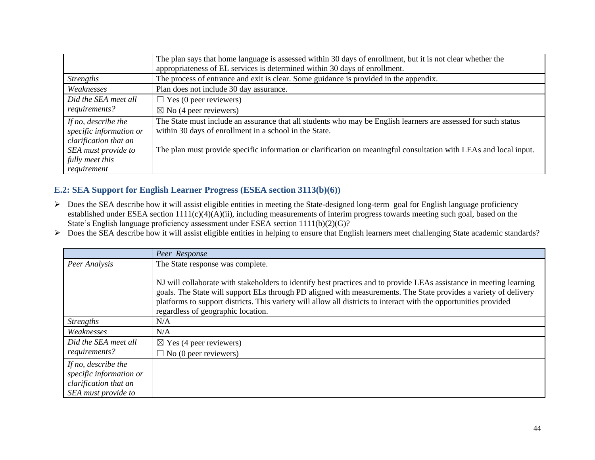|                                                                         | The plan says that home language is assessed within 30 days of enrollment, but it is not clear whether the<br>appropriateness of EL services is determined within 30 days of enrollment. |
|-------------------------------------------------------------------------|------------------------------------------------------------------------------------------------------------------------------------------------------------------------------------------|
| <b>Strengths</b>                                                        | The process of entrance and exit is clear. Some guidance is provided in the appendix.                                                                                                    |
| Weaknesses                                                              | Plan does not include 30 day assurance.                                                                                                                                                  |
| Did the SEA meet all                                                    | $\Box$ Yes (0 peer reviewers)                                                                                                                                                            |
| requirements?                                                           | $\boxtimes$ No (4 peer reviewers)                                                                                                                                                        |
| If no, describe the<br>specific information or<br>clarification that an | The State must include an assurance that all students who may be English learners are assessed for such status<br>within 30 days of enrollment in a school in the State.                 |
| SEA must provide to                                                     | The plan must provide specific information or clarification on meaningful consultation with LEAs and local input.                                                                        |
| fully meet this                                                         |                                                                                                                                                                                          |
| requirement                                                             |                                                                                                                                                                                          |

## **E.2: SEA Support for English Learner Progress (ESEA section 3113(b)(6))**

- Does the SEA describe how it will assist eligible entities in meeting the State-designed long-term goal for English language proficiency established under ESEA section 1111(c)(4)(A)(ii), including measurements of interim progress towards meeting such goal, based on the State's English language proficiency assessment under ESEA section 1111(b)(2)(G)?
- Does the SEA describe how it will assist eligible entities in helping to ensure that English learners meet challenging State academic standards?

|                                                                                                | Peer Response                                                                                                                                                                                                                                                                                                                                                                                      |
|------------------------------------------------------------------------------------------------|----------------------------------------------------------------------------------------------------------------------------------------------------------------------------------------------------------------------------------------------------------------------------------------------------------------------------------------------------------------------------------------------------|
| Peer Analysis                                                                                  | The State response was complete.                                                                                                                                                                                                                                                                                                                                                                   |
|                                                                                                | NJ will collaborate with stakeholders to identify best practices and to provide LEAs assistance in meeting learning<br>goals. The State will support ELs through PD aligned with measurements. The State provides a variety of delivery<br>platforms to support districts. This variety will allow all districts to interact with the opportunities provided<br>regardless of geographic location. |
| <i>Strengths</i>                                                                               | N/A                                                                                                                                                                                                                                                                                                                                                                                                |
| Weaknesses                                                                                     | N/A                                                                                                                                                                                                                                                                                                                                                                                                |
| Did the SEA meet all<br>requirements?                                                          | $\boxtimes$ Yes (4 peer reviewers)                                                                                                                                                                                                                                                                                                                                                                 |
|                                                                                                | $\Box$ No (0 peer reviewers)                                                                                                                                                                                                                                                                                                                                                                       |
| If no, describe the<br>specific information or<br>clarification that an<br>SEA must provide to |                                                                                                                                                                                                                                                                                                                                                                                                    |